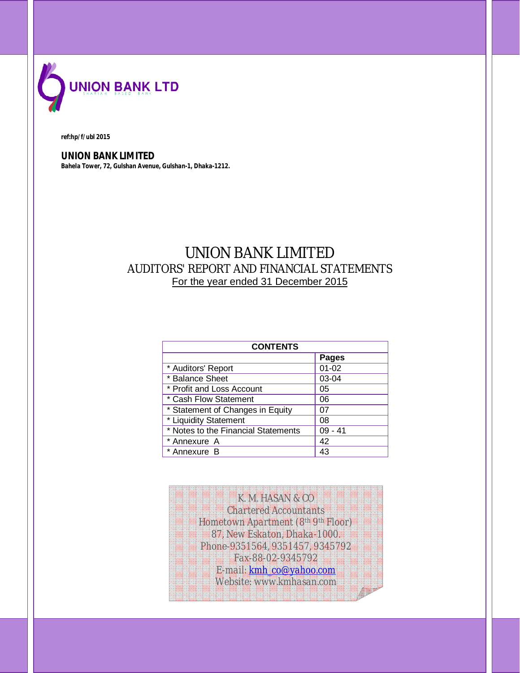

#### *ref:hp/f/ubl 2015*

**UNION BANK LIMITED** *Bahela Tower, 72, Gulshan Avenue, Gulshan-1, Dhaka-1212.*

# UNION BANK LIMITED AUDITORS' REPORT AND FINANCIAL STATEMENTS For the year ended 31 December 2015

| <b>CONTENTS</b>                     |              |  |
|-------------------------------------|--------------|--|
|                                     | <b>Pages</b> |  |
| * Auditors' Report                  | $01 - 02$    |  |
| * Balance Sheet                     | 03-04        |  |
| * Profit and Loss Account           | 05           |  |
| * Cash Flow Statement               | 06           |  |
| * Statement of Changes in Equity    | 07           |  |
| * Liquidity Statement               | 08           |  |
| * Notes to the Financial Statements | $09 - 41$    |  |
| * Annexure A                        | 42           |  |
| * Annexure B                        | 43           |  |

*K. M. HASAN & CO Chartered Accountants Hometown Apartment (8th 9th Floor) 87, New Eskaton, Dhaka-1000. Phone-9351564, 9351457, 9345792 Fax-88-02-9345792 E-mail: kmh\_co@yahoo.com Website: www.kmhasan.com*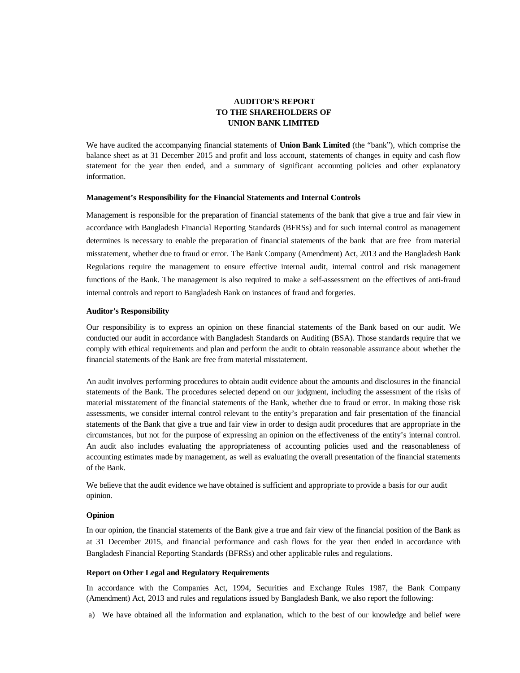# **AUDITOR'S REPORT TO THE SHAREHOLDERS OF UNION BANK LIMITED**

We have audited the accompanying financial statements of **Union Bank Limited** (the "bank"), which comprise the balance sheet as at 31 December 2015 and profit and loss account, statements of changes in equity and cash flow statement for the year then ended, and a summary of significant accounting policies and other explanatory information.

#### **Management's Responsibility for the Financial Statements and Internal Controls**

Management is responsible for the preparation of financial statements of the bank that give a true and fair view in accordance with Bangladesh Financial Reporting Standards (BFRSs) and for such internal control as management determines is necessary to enable the preparation of financial statements of the bank that are free from material misstatement, whether due to fraud or error. The Bank Company (Amendment) Act, 2013 and the Bangladesh Bank Regulations require the management to ensure effective internal audit, internal control and risk management functions of the Bank. The management is also required to make a self-assessment on the effectives of anti-fraud internal controls and report to Bangladesh Bank on instances of fraud and forgeries.

#### **Auditor's Responsibility**

Our responsibility is to express an opinion on these financial statements of the Bank based on our audit. We conducted our audit in accordance with Bangladesh Standards on Auditing (BSA). Those standards require that we comply with ethical requirements and plan and perform the audit to obtain reasonable assurance about whether the financial statements of the Bank are free from material misstatement.

An audit involves performing procedures to obtain audit evidence about the amounts and disclosures in the financial statements of the Bank. The procedures selected depend on our judgment, including the assessment of the risks of material misstatement of the financial statements of the Bank, whether due to fraud or error. In making those risk assessments, we consider internal control relevant to the entity's preparation and fair presentation of the financial statements of the Bank that give a true and fair view in order to design audit procedures that are appropriate in the circumstances, but not for the purpose of expressing an opinion on the effectiveness of the entity's internal control. An audit also includes evaluating the appropriateness of accounting policies used and the reasonableness of accounting estimates made by management, as well as evaluating the overall presentation of the financial statements of the Bank.

We believe that the audit evidence we have obtained is sufficient and appropriate to provide a basis for our audit opinion.

#### **Opinion**

In our opinion, the financial statements of the Bank give a true and fair view of the financial position of the Bank as at 31 December 2015, and financial performance and cash flows for the year then ended in accordance with Bangladesh Financial Reporting Standards (BFRSs) and other applicable rules and regulations.

#### **Report on Other Legal and Regulatory Requirements**

In accordance with the Companies Act, 1994, Securities and Exchange Rules 1987, the Bank Company (Amendment) Act, 2013 and rules and regulations issued by Bangladesh Bank, we also report the following:

a) We have obtained all the information and explanation, which to the best of our knowledge and belief were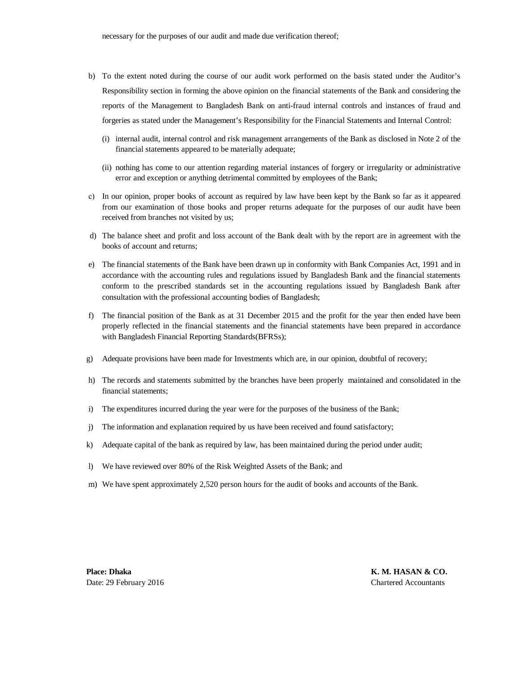- b) To the extent noted during the course of our audit work performed on the basis stated under the Auditor's Responsibility section in forming the above opinion on the financial statements of the Bank and considering the reports of the Management to Bangladesh Bank on anti-fraud internal controls and instances of fraud and forgeries as stated under the Management's Responsibility for the Financial Statements and Internal Control:
	- (i) internal audit, internal control and risk management arrangements of the Bank as disclosed in Note 2 of the financial statements appeared to be materially adequate;
	- (ii) nothing has come to our attention regarding material instances of forgery or irregularity or administrative error and exception or anything detrimental committed by employees of the Bank;
- c) In our opinion, proper books of account as required by law have been kept by the Bank so far as it appeared from our examination of those books and proper returns adequate for the purposes of our audit have been received from branches not visited by us;
- d) The balance sheet and profit and loss account of the Bank dealt with by the report are in agreement with the books of account and returns;
- e) The financial statements of the Bank have been drawn up in conformity with Bank Companies Act, 1991 and in accordance with the accounting rules and regulations issued by Bangladesh Bank and the financial statements conform to the prescribed standards set in the accounting regulations issued by Bangladesh Bank after consultation with the professional accounting bodies of Bangladesh;
- f) The financial position of the Bank as at 31 December 2015 and the profit for the year then ended have been properly reflected in the financial statements and the financial statements have been prepared in accordance with Bangladesh Financial Reporting Standards(BFRSs);
- g) Adequate provisions have been made for Investments which are, in our opinion, doubtful of recovery;
- h) The records and statements submitted by the branches have been properly maintained and consolidated in the financial statements;
- i) The expenditures incurred during the year were for the purposes of the business of the Bank;
- j) The information and explanation required by us have been received and found satisfactory;
- $\mathbf{k}$ Adequate capital of the bank as required by law, has been maintained during the period under audit;
- $\mathbf{I}$ We have reviewed over 80% of the Risk Weighted Assets of the Bank; and
- m) We have spent approximately 2,520 person hours for the audit of books and accounts of the Bank.

**Place: Dhaka K. M. HASAN & CO.** Date: 29 February 2016 Chartered Accountants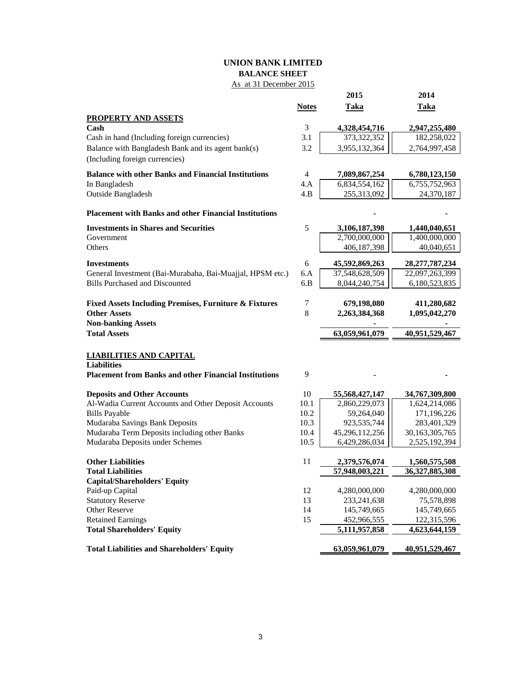# **UNION BANK LIMITED BALANCE SHEET**

# As at 31 December 2015

|                                                                                         |              | 2015                  | 2014                  |
|-----------------------------------------------------------------------------------------|--------------|-----------------------|-----------------------|
|                                                                                         | <b>Notes</b> | <b>Taka</b>           | <b>Taka</b>           |
| <b>PROPERTY AND ASSETS</b>                                                              |              |                       |                       |
| Cash                                                                                    | 3            | 4,328,454,716         | 2,947,255,480         |
| Cash in hand (Including foreign currencies)                                             | 3.1          | 373,322,352           | 182,258,022           |
| Balance with Bangladesh Bank and its agent bank(s)                                      | 3.2          | 3,955,132,364         | 2,764,997,458         |
| (Including foreign currencies)                                                          |              |                       |                       |
| <b>Balance with other Banks and Financial Institutions</b>                              | 4            | 7,089,867,254         | 6,780,123,150         |
| In Bangladesh                                                                           | 4.A          | 6,834,554,162         | 6,755,752,963         |
| Outside Bangladesh                                                                      | 4.B          | 255,313,092           | 24,370,187            |
| <b>Placement with Banks and other Financial Institutions</b>                            |              |                       |                       |
| <b>Investments in Shares and Securities</b>                                             | 5            | 3,106,187,398         | 1,440,040,651         |
| Government                                                                              |              | 2,700,000,000         | 1,400,000,000         |
| Others                                                                                  |              | 406,187,398           | 40,040,651            |
| <b>Investments</b>                                                                      | 6            | 45,592,869,263        | 28, 277, 787, 234     |
| General Investment (Bai-Murabaha, Bai-Muajjal, HPSM etc.)                               | 6.A          | 37,548,628,509        | 22,097,263,399        |
| <b>Bills Purchased and Discounted</b>                                                   | 6.B          | 8,044,240,754         | 6,180,523,835         |
|                                                                                         |              |                       |                       |
| <b>Fixed Assets Including Premises, Furniture &amp; Fixtures</b><br><b>Other Assets</b> | 7<br>8       | 679,198,080           | 411,280,682           |
| <b>Non-banking Assets</b>                                                               |              | 2,263,384,368         | 1,095,042,270         |
| <b>Total Assets</b>                                                                     |              | 63,059,961,079        | 40,951,529,467        |
|                                                                                         |              |                       |                       |
| <b>LIABILITIES AND CAPITAL</b>                                                          |              |                       |                       |
| <b>Liabilities</b>                                                                      |              |                       |                       |
| <b>Placement from Banks and other Financial Institutions</b>                            | 9            |                       |                       |
| <b>Deposits and Other Accounts</b>                                                      | 10           | 55,568,427,147        | 34,767,309,800        |
| Al-Wadia Current Accounts and Other Deposit Accounts                                    | 10.1         | 2,860,229,073         | 1,624,214,086         |
| <b>Bills Payable</b>                                                                    | 10.2         | 59,264,040            | 171,196,226           |
| Mudaraba Savings Bank Deposits                                                          | 10.3         | 923,535,744           | 283,401,329           |
| Mudaraba Term Deposits including other Banks                                            | 10.4         | 45,296,112,256        | 30,163,305,765        |
| Mudaraba Deposits under Schemes                                                         | 10.5         | 6,429,286,034         | 2,525,192,394         |
| <b>Other Liabilities</b>                                                                | 11           | 2,379,576,074         | 1,560,575,508         |
| <b>Total Liabilities</b>                                                                |              | 57,948,003,221        | 36,327,885,308        |
| <b>Capital/Shareholders' Equity</b>                                                     |              |                       |                       |
| Paid-up Capital                                                                         | 12           | 4,280,000,000         | 4,280,000,000         |
| <b>Statutory Reserve</b>                                                                | 13           | 233, 241, 638         | 75,578,898            |
| <b>Other Reserve</b>                                                                    | 14           | 145,749,665           | 145,749,665           |
| <b>Retained Earnings</b>                                                                | 15           | 452,966,555           | 122,315,596           |
| <b>Total Shareholders' Equity</b>                                                       |              | 5,111,957,858         | 4,623,644,159         |
| <b>Total Liabilities and Shareholders' Equity</b>                                       |              | <u>63,059,961,079</u> | <u>40,951,529,467</u> |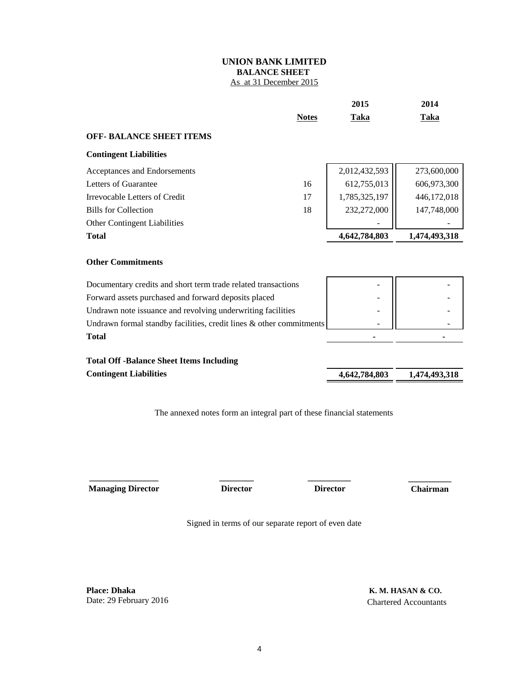## **UNION BANK LIMITED BALANCE SHEET**  As at 31 December 2015

|                                                                     | <b>Notes</b> | <b>Taka</b>   | <b>Taka</b>   |
|---------------------------------------------------------------------|--------------|---------------|---------------|
| <b>OFF- BALANCE SHEET ITEMS</b>                                     |              |               |               |
| <b>Contingent Liabilities</b>                                       |              |               |               |
| Acceptances and Endorsements                                        |              | 2,012,432,593 | 273,600,000   |
| Letters of Guarantee                                                | 16           | 612,755,013   | 606,973,300   |
| <b>Irrevocable Letters of Credit</b>                                | 17           | 1,785,325,197 | 446,172,018   |
| <b>Bills for Collection</b>                                         | 18           | 232,272,000   | 147,748,000   |
| <b>Other Contingent Liabilities</b>                                 |              |               |               |
| <b>Total</b>                                                        |              | 4,642,784,803 | 1,474,493,318 |
| <b>Other Commitments</b>                                            |              |               |               |
| Documentary credits and short term trade related transactions       |              |               |               |
| Forward assets purchased and forward deposits placed                |              |               |               |
| Undrawn note issuance and revolving underwriting facilities         |              |               |               |
| Undrawn formal standby facilities, credit lines & other commitments |              |               |               |
| <b>Total</b>                                                        |              |               |               |
| <b>Total Off-Balance Sheet Items Including</b>                      |              |               |               |
| <b>Contingent Liabilities</b>                                       |              | 4,642,784,803 | 1,474,493,318 |

The annexed notes form an integral part of these financial statements

 **Managing Director Director Chairman**

**\_\_\_\_\_\_\_\_\_\_\_\_\_\_\_\_ \_\_\_\_\_\_\_\_ \_\_\_\_\_\_\_\_\_\_**

 **Director**

 **\_\_\_\_\_\_\_\_\_\_**

**2015 2014**

Signed in terms of our separate report of even date

**Place: Dhaka** Date: 29 February 2016

 **K. M. HASAN & CO.** Chartered Accountants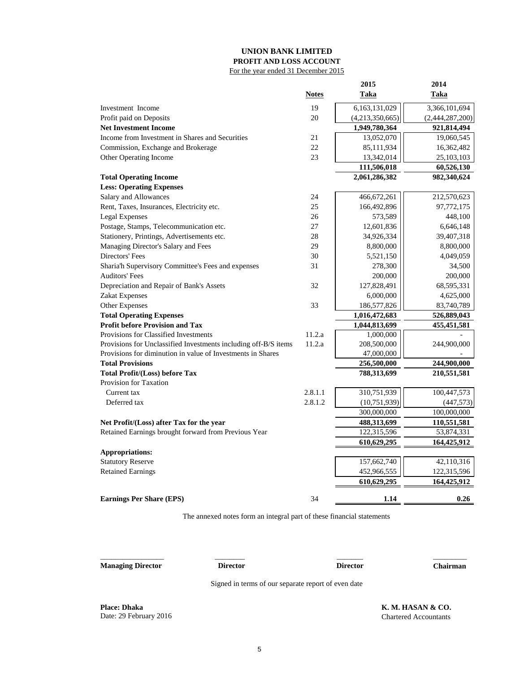#### **UNION BANK LIMITED PROFIT AND LOSS ACCOUNT** For the year ended 31 December 2015

| <b>Notes</b><br><b>Taka</b><br><u>Taka</u><br>6,163,131,029<br>19<br>3,366,101,694<br>Investment Income<br>20<br>(4,213,350,665)<br>Profit paid on Deposits<br>(2,444,287,200)<br><b>Net Investment Income</b><br>1,949,780,364<br>921,814,494<br>Income from Investment in Shares and Securities<br>21<br>13,052,070<br>19,060,545<br>22<br>Commission, Exchange and Brokerage<br>85,111,934<br>16,362,482<br>Other Operating Income<br>23<br>13,342,014<br>25,103,103<br>111,506,018<br>60,526,130<br>2,061,286,382<br>982,340,624<br><b>Total Operating Income</b><br><b>Less: Operating Expenses</b><br>Salary and Allowances<br>212,570,623<br>24<br>466,672,261<br>Rent, Taxes, Insurances, Electricity etc.<br>25<br>166,492,896<br>97,772,175<br><b>Legal Expenses</b><br>448,100<br>26<br>573,589<br>Postage, Stamps, Telecommunication etc.<br>27<br>12,601,836<br>6,646,148<br>Stationery, Printings, Advertisements etc.<br>28<br>39,407,318<br>34,926,334<br>Managing Director's Salary and Fees<br>29<br>8,800,000<br>8,800,000<br>Directors' Fees<br>30<br>5,521,150<br>4,049,059<br>31<br>278,300<br>Sharia'h Supervisory Committee's Fees and expenses<br>34,500<br><b>Auditors' Fees</b><br>200,000<br>200,000<br>Depreciation and Repair of Bank's Assets<br>32<br>127,828,491<br>68,595,331<br>Zakat Expenses<br>6,000,000<br>4,625,000<br>Other Expenses<br>33<br>186,577,826<br>83,740,789<br><b>Total Operating Expenses</b><br>1,016,472,683<br>526,889,043<br><b>Profit before Provision and Tax</b><br>1,044,813,699<br>455, 451, 581<br>Provisions for Classified Investments<br>11.2.a<br>1,000,000<br>Provisions for Unclassified Investments including off-B/S items<br>11.2.a<br>208,500,000<br>244,900,000<br>Provisions for diminution in value of Investments in Shares<br>47,000,000<br><b>Total Provisions</b><br>244,900,000<br>256,500,000<br><b>Total Profit/(Loss) before Tax</b><br>788,313,699<br>210,551,581<br>Provision for Taxation<br>2.8.1.1<br>310,751,939<br>100,447,573<br>Current tax<br>Deferred tax<br>2.8.1.2<br>(10, 751, 939)<br>(447, 573)<br>300,000,000<br>100,000,000<br>488,313,699<br>Net Profit/(Loss) after Tax for the year<br>110,551,581<br>Retained Earnings brought forward from Previous Year<br>122,315,596<br>53,874,331<br>610,629,295<br>164,425,912<br><b>Appropriations:</b><br><b>Statutory Reserve</b><br>157,662,740<br>42,110,316<br><b>Retained Earnings</b><br>452,966,555<br>122,315,596<br>610,629,295<br>164,425,912<br>34<br><b>Earnings Per Share (EPS)</b><br>1.14<br>0.26 |  | 2015 | 2014 |
|---------------------------------------------------------------------------------------------------------------------------------------------------------------------------------------------------------------------------------------------------------------------------------------------------------------------------------------------------------------------------------------------------------------------------------------------------------------------------------------------------------------------------------------------------------------------------------------------------------------------------------------------------------------------------------------------------------------------------------------------------------------------------------------------------------------------------------------------------------------------------------------------------------------------------------------------------------------------------------------------------------------------------------------------------------------------------------------------------------------------------------------------------------------------------------------------------------------------------------------------------------------------------------------------------------------------------------------------------------------------------------------------------------------------------------------------------------------------------------------------------------------------------------------------------------------------------------------------------------------------------------------------------------------------------------------------------------------------------------------------------------------------------------------------------------------------------------------------------------------------------------------------------------------------------------------------------------------------------------------------------------------------------------------------------------------------------------------------------------------------------------------------------------------------------------------------------------------------------------------------------------------------------------------------------------------------------------------------------------------------------------------------------------------------------------------------------------------------------------------------------------------------------------------------------------------------|--|------|------|
|                                                                                                                                                                                                                                                                                                                                                                                                                                                                                                                                                                                                                                                                                                                                                                                                                                                                                                                                                                                                                                                                                                                                                                                                                                                                                                                                                                                                                                                                                                                                                                                                                                                                                                                                                                                                                                                                                                                                                                                                                                                                                                                                                                                                                                                                                                                                                                                                                                                                                                                                                                     |  |      |      |
|                                                                                                                                                                                                                                                                                                                                                                                                                                                                                                                                                                                                                                                                                                                                                                                                                                                                                                                                                                                                                                                                                                                                                                                                                                                                                                                                                                                                                                                                                                                                                                                                                                                                                                                                                                                                                                                                                                                                                                                                                                                                                                                                                                                                                                                                                                                                                                                                                                                                                                                                                                     |  |      |      |
|                                                                                                                                                                                                                                                                                                                                                                                                                                                                                                                                                                                                                                                                                                                                                                                                                                                                                                                                                                                                                                                                                                                                                                                                                                                                                                                                                                                                                                                                                                                                                                                                                                                                                                                                                                                                                                                                                                                                                                                                                                                                                                                                                                                                                                                                                                                                                                                                                                                                                                                                                                     |  |      |      |
|                                                                                                                                                                                                                                                                                                                                                                                                                                                                                                                                                                                                                                                                                                                                                                                                                                                                                                                                                                                                                                                                                                                                                                                                                                                                                                                                                                                                                                                                                                                                                                                                                                                                                                                                                                                                                                                                                                                                                                                                                                                                                                                                                                                                                                                                                                                                                                                                                                                                                                                                                                     |  |      |      |
|                                                                                                                                                                                                                                                                                                                                                                                                                                                                                                                                                                                                                                                                                                                                                                                                                                                                                                                                                                                                                                                                                                                                                                                                                                                                                                                                                                                                                                                                                                                                                                                                                                                                                                                                                                                                                                                                                                                                                                                                                                                                                                                                                                                                                                                                                                                                                                                                                                                                                                                                                                     |  |      |      |
|                                                                                                                                                                                                                                                                                                                                                                                                                                                                                                                                                                                                                                                                                                                                                                                                                                                                                                                                                                                                                                                                                                                                                                                                                                                                                                                                                                                                                                                                                                                                                                                                                                                                                                                                                                                                                                                                                                                                                                                                                                                                                                                                                                                                                                                                                                                                                                                                                                                                                                                                                                     |  |      |      |
|                                                                                                                                                                                                                                                                                                                                                                                                                                                                                                                                                                                                                                                                                                                                                                                                                                                                                                                                                                                                                                                                                                                                                                                                                                                                                                                                                                                                                                                                                                                                                                                                                                                                                                                                                                                                                                                                                                                                                                                                                                                                                                                                                                                                                                                                                                                                                                                                                                                                                                                                                                     |  |      |      |
|                                                                                                                                                                                                                                                                                                                                                                                                                                                                                                                                                                                                                                                                                                                                                                                                                                                                                                                                                                                                                                                                                                                                                                                                                                                                                                                                                                                                                                                                                                                                                                                                                                                                                                                                                                                                                                                                                                                                                                                                                                                                                                                                                                                                                                                                                                                                                                                                                                                                                                                                                                     |  |      |      |
|                                                                                                                                                                                                                                                                                                                                                                                                                                                                                                                                                                                                                                                                                                                                                                                                                                                                                                                                                                                                                                                                                                                                                                                                                                                                                                                                                                                                                                                                                                                                                                                                                                                                                                                                                                                                                                                                                                                                                                                                                                                                                                                                                                                                                                                                                                                                                                                                                                                                                                                                                                     |  |      |      |
|                                                                                                                                                                                                                                                                                                                                                                                                                                                                                                                                                                                                                                                                                                                                                                                                                                                                                                                                                                                                                                                                                                                                                                                                                                                                                                                                                                                                                                                                                                                                                                                                                                                                                                                                                                                                                                                                                                                                                                                                                                                                                                                                                                                                                                                                                                                                                                                                                                                                                                                                                                     |  |      |      |
|                                                                                                                                                                                                                                                                                                                                                                                                                                                                                                                                                                                                                                                                                                                                                                                                                                                                                                                                                                                                                                                                                                                                                                                                                                                                                                                                                                                                                                                                                                                                                                                                                                                                                                                                                                                                                                                                                                                                                                                                                                                                                                                                                                                                                                                                                                                                                                                                                                                                                                                                                                     |  |      |      |
|                                                                                                                                                                                                                                                                                                                                                                                                                                                                                                                                                                                                                                                                                                                                                                                                                                                                                                                                                                                                                                                                                                                                                                                                                                                                                                                                                                                                                                                                                                                                                                                                                                                                                                                                                                                                                                                                                                                                                                                                                                                                                                                                                                                                                                                                                                                                                                                                                                                                                                                                                                     |  |      |      |
|                                                                                                                                                                                                                                                                                                                                                                                                                                                                                                                                                                                                                                                                                                                                                                                                                                                                                                                                                                                                                                                                                                                                                                                                                                                                                                                                                                                                                                                                                                                                                                                                                                                                                                                                                                                                                                                                                                                                                                                                                                                                                                                                                                                                                                                                                                                                                                                                                                                                                                                                                                     |  |      |      |
|                                                                                                                                                                                                                                                                                                                                                                                                                                                                                                                                                                                                                                                                                                                                                                                                                                                                                                                                                                                                                                                                                                                                                                                                                                                                                                                                                                                                                                                                                                                                                                                                                                                                                                                                                                                                                                                                                                                                                                                                                                                                                                                                                                                                                                                                                                                                                                                                                                                                                                                                                                     |  |      |      |
|                                                                                                                                                                                                                                                                                                                                                                                                                                                                                                                                                                                                                                                                                                                                                                                                                                                                                                                                                                                                                                                                                                                                                                                                                                                                                                                                                                                                                                                                                                                                                                                                                                                                                                                                                                                                                                                                                                                                                                                                                                                                                                                                                                                                                                                                                                                                                                                                                                                                                                                                                                     |  |      |      |
|                                                                                                                                                                                                                                                                                                                                                                                                                                                                                                                                                                                                                                                                                                                                                                                                                                                                                                                                                                                                                                                                                                                                                                                                                                                                                                                                                                                                                                                                                                                                                                                                                                                                                                                                                                                                                                                                                                                                                                                                                                                                                                                                                                                                                                                                                                                                                                                                                                                                                                                                                                     |  |      |      |
|                                                                                                                                                                                                                                                                                                                                                                                                                                                                                                                                                                                                                                                                                                                                                                                                                                                                                                                                                                                                                                                                                                                                                                                                                                                                                                                                                                                                                                                                                                                                                                                                                                                                                                                                                                                                                                                                                                                                                                                                                                                                                                                                                                                                                                                                                                                                                                                                                                                                                                                                                                     |  |      |      |
|                                                                                                                                                                                                                                                                                                                                                                                                                                                                                                                                                                                                                                                                                                                                                                                                                                                                                                                                                                                                                                                                                                                                                                                                                                                                                                                                                                                                                                                                                                                                                                                                                                                                                                                                                                                                                                                                                                                                                                                                                                                                                                                                                                                                                                                                                                                                                                                                                                                                                                                                                                     |  |      |      |
|                                                                                                                                                                                                                                                                                                                                                                                                                                                                                                                                                                                                                                                                                                                                                                                                                                                                                                                                                                                                                                                                                                                                                                                                                                                                                                                                                                                                                                                                                                                                                                                                                                                                                                                                                                                                                                                                                                                                                                                                                                                                                                                                                                                                                                                                                                                                                                                                                                                                                                                                                                     |  |      |      |
|                                                                                                                                                                                                                                                                                                                                                                                                                                                                                                                                                                                                                                                                                                                                                                                                                                                                                                                                                                                                                                                                                                                                                                                                                                                                                                                                                                                                                                                                                                                                                                                                                                                                                                                                                                                                                                                                                                                                                                                                                                                                                                                                                                                                                                                                                                                                                                                                                                                                                                                                                                     |  |      |      |
|                                                                                                                                                                                                                                                                                                                                                                                                                                                                                                                                                                                                                                                                                                                                                                                                                                                                                                                                                                                                                                                                                                                                                                                                                                                                                                                                                                                                                                                                                                                                                                                                                                                                                                                                                                                                                                                                                                                                                                                                                                                                                                                                                                                                                                                                                                                                                                                                                                                                                                                                                                     |  |      |      |
|                                                                                                                                                                                                                                                                                                                                                                                                                                                                                                                                                                                                                                                                                                                                                                                                                                                                                                                                                                                                                                                                                                                                                                                                                                                                                                                                                                                                                                                                                                                                                                                                                                                                                                                                                                                                                                                                                                                                                                                                                                                                                                                                                                                                                                                                                                                                                                                                                                                                                                                                                                     |  |      |      |
|                                                                                                                                                                                                                                                                                                                                                                                                                                                                                                                                                                                                                                                                                                                                                                                                                                                                                                                                                                                                                                                                                                                                                                                                                                                                                                                                                                                                                                                                                                                                                                                                                                                                                                                                                                                                                                                                                                                                                                                                                                                                                                                                                                                                                                                                                                                                                                                                                                                                                                                                                                     |  |      |      |
|                                                                                                                                                                                                                                                                                                                                                                                                                                                                                                                                                                                                                                                                                                                                                                                                                                                                                                                                                                                                                                                                                                                                                                                                                                                                                                                                                                                                                                                                                                                                                                                                                                                                                                                                                                                                                                                                                                                                                                                                                                                                                                                                                                                                                                                                                                                                                                                                                                                                                                                                                                     |  |      |      |
|                                                                                                                                                                                                                                                                                                                                                                                                                                                                                                                                                                                                                                                                                                                                                                                                                                                                                                                                                                                                                                                                                                                                                                                                                                                                                                                                                                                                                                                                                                                                                                                                                                                                                                                                                                                                                                                                                                                                                                                                                                                                                                                                                                                                                                                                                                                                                                                                                                                                                                                                                                     |  |      |      |
|                                                                                                                                                                                                                                                                                                                                                                                                                                                                                                                                                                                                                                                                                                                                                                                                                                                                                                                                                                                                                                                                                                                                                                                                                                                                                                                                                                                                                                                                                                                                                                                                                                                                                                                                                                                                                                                                                                                                                                                                                                                                                                                                                                                                                                                                                                                                                                                                                                                                                                                                                                     |  |      |      |
|                                                                                                                                                                                                                                                                                                                                                                                                                                                                                                                                                                                                                                                                                                                                                                                                                                                                                                                                                                                                                                                                                                                                                                                                                                                                                                                                                                                                                                                                                                                                                                                                                                                                                                                                                                                                                                                                                                                                                                                                                                                                                                                                                                                                                                                                                                                                                                                                                                                                                                                                                                     |  |      |      |
|                                                                                                                                                                                                                                                                                                                                                                                                                                                                                                                                                                                                                                                                                                                                                                                                                                                                                                                                                                                                                                                                                                                                                                                                                                                                                                                                                                                                                                                                                                                                                                                                                                                                                                                                                                                                                                                                                                                                                                                                                                                                                                                                                                                                                                                                                                                                                                                                                                                                                                                                                                     |  |      |      |
|                                                                                                                                                                                                                                                                                                                                                                                                                                                                                                                                                                                                                                                                                                                                                                                                                                                                                                                                                                                                                                                                                                                                                                                                                                                                                                                                                                                                                                                                                                                                                                                                                                                                                                                                                                                                                                                                                                                                                                                                                                                                                                                                                                                                                                                                                                                                                                                                                                                                                                                                                                     |  |      |      |
|                                                                                                                                                                                                                                                                                                                                                                                                                                                                                                                                                                                                                                                                                                                                                                                                                                                                                                                                                                                                                                                                                                                                                                                                                                                                                                                                                                                                                                                                                                                                                                                                                                                                                                                                                                                                                                                                                                                                                                                                                                                                                                                                                                                                                                                                                                                                                                                                                                                                                                                                                                     |  |      |      |
|                                                                                                                                                                                                                                                                                                                                                                                                                                                                                                                                                                                                                                                                                                                                                                                                                                                                                                                                                                                                                                                                                                                                                                                                                                                                                                                                                                                                                                                                                                                                                                                                                                                                                                                                                                                                                                                                                                                                                                                                                                                                                                                                                                                                                                                                                                                                                                                                                                                                                                                                                                     |  |      |      |
|                                                                                                                                                                                                                                                                                                                                                                                                                                                                                                                                                                                                                                                                                                                                                                                                                                                                                                                                                                                                                                                                                                                                                                                                                                                                                                                                                                                                                                                                                                                                                                                                                                                                                                                                                                                                                                                                                                                                                                                                                                                                                                                                                                                                                                                                                                                                                                                                                                                                                                                                                                     |  |      |      |
|                                                                                                                                                                                                                                                                                                                                                                                                                                                                                                                                                                                                                                                                                                                                                                                                                                                                                                                                                                                                                                                                                                                                                                                                                                                                                                                                                                                                                                                                                                                                                                                                                                                                                                                                                                                                                                                                                                                                                                                                                                                                                                                                                                                                                                                                                                                                                                                                                                                                                                                                                                     |  |      |      |
|                                                                                                                                                                                                                                                                                                                                                                                                                                                                                                                                                                                                                                                                                                                                                                                                                                                                                                                                                                                                                                                                                                                                                                                                                                                                                                                                                                                                                                                                                                                                                                                                                                                                                                                                                                                                                                                                                                                                                                                                                                                                                                                                                                                                                                                                                                                                                                                                                                                                                                                                                                     |  |      |      |
|                                                                                                                                                                                                                                                                                                                                                                                                                                                                                                                                                                                                                                                                                                                                                                                                                                                                                                                                                                                                                                                                                                                                                                                                                                                                                                                                                                                                                                                                                                                                                                                                                                                                                                                                                                                                                                                                                                                                                                                                                                                                                                                                                                                                                                                                                                                                                                                                                                                                                                                                                                     |  |      |      |
|                                                                                                                                                                                                                                                                                                                                                                                                                                                                                                                                                                                                                                                                                                                                                                                                                                                                                                                                                                                                                                                                                                                                                                                                                                                                                                                                                                                                                                                                                                                                                                                                                                                                                                                                                                                                                                                                                                                                                                                                                                                                                                                                                                                                                                                                                                                                                                                                                                                                                                                                                                     |  |      |      |
|                                                                                                                                                                                                                                                                                                                                                                                                                                                                                                                                                                                                                                                                                                                                                                                                                                                                                                                                                                                                                                                                                                                                                                                                                                                                                                                                                                                                                                                                                                                                                                                                                                                                                                                                                                                                                                                                                                                                                                                                                                                                                                                                                                                                                                                                                                                                                                                                                                                                                                                                                                     |  |      |      |
|                                                                                                                                                                                                                                                                                                                                                                                                                                                                                                                                                                                                                                                                                                                                                                                                                                                                                                                                                                                                                                                                                                                                                                                                                                                                                                                                                                                                                                                                                                                                                                                                                                                                                                                                                                                                                                                                                                                                                                                                                                                                                                                                                                                                                                                                                                                                                                                                                                                                                                                                                                     |  |      |      |
|                                                                                                                                                                                                                                                                                                                                                                                                                                                                                                                                                                                                                                                                                                                                                                                                                                                                                                                                                                                                                                                                                                                                                                                                                                                                                                                                                                                                                                                                                                                                                                                                                                                                                                                                                                                                                                                                                                                                                                                                                                                                                                                                                                                                                                                                                                                                                                                                                                                                                                                                                                     |  |      |      |
|                                                                                                                                                                                                                                                                                                                                                                                                                                                                                                                                                                                                                                                                                                                                                                                                                                                                                                                                                                                                                                                                                                                                                                                                                                                                                                                                                                                                                                                                                                                                                                                                                                                                                                                                                                                                                                                                                                                                                                                                                                                                                                                                                                                                                                                                                                                                                                                                                                                                                                                                                                     |  |      |      |
|                                                                                                                                                                                                                                                                                                                                                                                                                                                                                                                                                                                                                                                                                                                                                                                                                                                                                                                                                                                                                                                                                                                                                                                                                                                                                                                                                                                                                                                                                                                                                                                                                                                                                                                                                                                                                                                                                                                                                                                                                                                                                                                                                                                                                                                                                                                                                                                                                                                                                                                                                                     |  |      |      |

The annexed notes form an integral part of these financial statements

**Managing Director Director Chairman**

\_\_\_\_\_\_\_\_\_\_\_\_\_\_\_\_\_ \_\_\_\_\_\_\_\_ \_\_\_\_\_\_\_\_\_

 $\overline{\phantom{a}}$ **Director**

Signed in terms of our separate report of even date

**Place: Dhaka K. M. HASAN & CO.**<br>Date: 29 February 2016 **CO.** Chartered Accountants

Chartered Accountants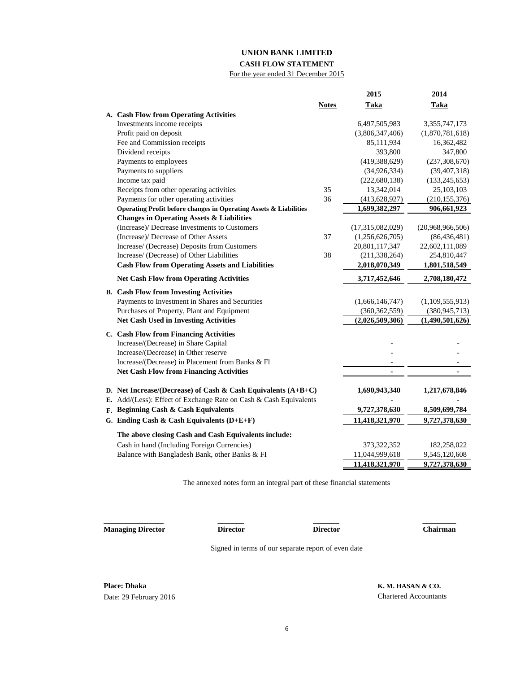# **UNION BANK LIMITED**

## **CASH FLOW STATEMENT** For the year ended 31 December 2015

|                                                                   |              | 2015             | 2014             |
|-------------------------------------------------------------------|--------------|------------------|------------------|
|                                                                   | <b>Notes</b> | Taka             | <b>Taka</b>      |
| A. Cash Flow from Operating Activities                            |              |                  |                  |
| Investments income receipts                                       |              | 6,497,505,983    | 3,355,747,173    |
| Profit paid on deposit                                            |              | (3,806,347,406)  | (1,870,781,618)  |
| Fee and Commission receipts                                       |              | 85,111,934       | 16,362,482       |
| Dividend receipts                                                 |              | 393,800          | 347,800          |
| Payments to employees                                             |              | (419, 388, 629)  | (237, 308, 670)  |
| Payments to suppliers                                             |              | (34, 926, 334)   | (39, 407, 318)   |
| Income tax paid                                                   |              | (222, 680, 138)  | (133, 245, 653)  |
| Receipts from other operating activities                          | 35           | 13,342,014       | 25,103,103       |
| Payments for other operating activities                           | 36           | (413, 628, 927)  | (210, 155, 376)  |
| Operating Profit before changes in Operating Assets & Liabilities |              | 1,699,382,297    | 906,661,923      |
| <b>Changes in Operating Assets &amp; Liabilities</b>              |              |                  |                  |
| (Increase)/ Decrease Investments to Customers                     |              | (17,315,082,029) | (20,968,966,506) |
| (Increase)/ Decrease of Other Assets                              | 37           | (1,256,626,705)  | (86, 436, 481)   |
| Increase/ (Decrease) Deposits from Customers                      |              | 20,801,117,347   | 22,602,111,089   |
| Increase/ (Decrease) of Other Liabilities                         | 38           | (211, 338, 264)  | 254,810,447      |
| <b>Cash Flow from Operating Assets and Liabilities</b>            |              | 2,018,070,349    | 1,801,518,549    |
| <b>Net Cash Flow from Operating Activities</b>                    |              | 3,717,452,646    | 2,708,180,472    |
| <b>B.</b> Cash Flow from Investing Activities                     |              |                  |                  |
| Payments to Investment in Shares and Securities                   |              | (1,666,146,747)  | (1,109,555,913)  |
| Purchases of Property, Plant and Equipment                        |              | (360, 362, 559)  | (380, 945, 713)  |
| <b>Net Cash Used in Investing Activities</b>                      |              | (2,026,509,306)  | (1,490,501,626)  |
| C. Cash Flow from Financing Activities                            |              |                  |                  |
| Increase/(Decrease) in Share Capital                              |              |                  |                  |
| Increase/(Decrease) in Other reserve                              |              |                  |                  |
| Increase/(Decrease) in Placement from Banks & Fl                  |              |                  |                  |
| <b>Net Cash Flow from Financing Activities</b>                    |              | ۰                | ٠                |
|                                                                   |              |                  |                  |
| D. Net Increase/(Decrease) of Cash & Cash Equivalents $(A+B+C)$   |              | 1,690,943,340    | 1,217,678,846    |
| E. Add/(Less): Effect of Exchange Rate on Cash & Cash Equivalents |              |                  |                  |
| F. Beginning Cash & Cash Equivalents                              |              | 9,727,378,630    | 8,509,699,784    |
| G. Ending Cash & Cash Equivalents $(D+E+F)$                       |              | 11,418,321,970   | 9,727,378,630    |
| The above closing Cash and Cash Equivalents include:              |              |                  |                  |
| Cash in hand (Including Foreign Currencies)                       |              | 373, 322, 352    | 182,258,022      |
| Balance with Bangladesh Bank, other Banks & FI                    |              | 11,044,999,618   | 9,545,120,608    |
|                                                                   |              | 11,418,321,970   | 9,727,378,630    |

The annexed notes form an integral part of these financial statements

**Managing Director Director Director Chairman**

**\_\_\_\_\_\_\_\_\_\_\_\_\_\_\_\_ \_\_\_\_\_\_\_ \_\_\_\_\_\_\_ \_\_\_\_\_\_\_\_\_**

Signed in terms of our separate report of even date

**Place: Dhaka K. M. HASAN & CO.** Date: 29 February 2016 Chartered Accountants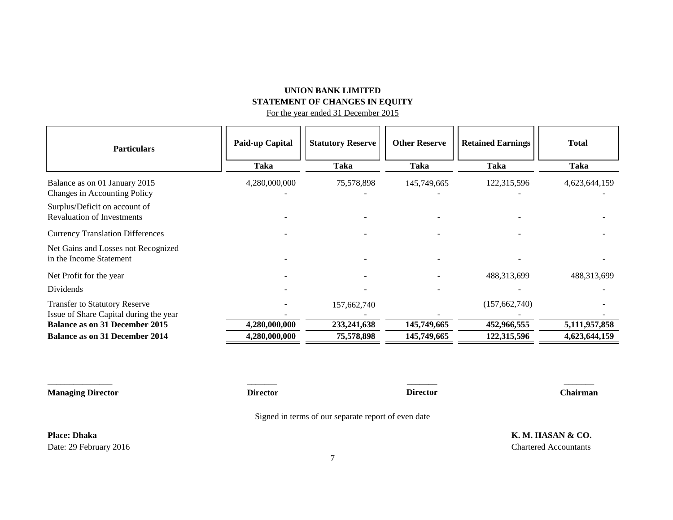# **UNION BANK LIMITED STATEMENT OF CHANGES IN EQUITY**

For the year ended 31 December 2015

| <b>Particulars</b>                                                             | Paid-up Capital | <b>Statutory Reserve</b> | <b>Other Reserve</b> | <b>Retained Earnings</b> | <b>Total</b>  |
|--------------------------------------------------------------------------------|-----------------|--------------------------|----------------------|--------------------------|---------------|
|                                                                                | Taka            | <b>Taka</b>              | Taka                 | <b>Taka</b>              | <b>Taka</b>   |
| Balance as on 01 January 2015<br>Changes in Accounting Policy                  | 4,280,000,000   | 75,578,898               | 145,749,665          | 122,315,596              | 4,623,644,159 |
| Surplus/Deficit on account of<br><b>Revaluation of Investments</b>             |                 |                          |                      |                          |               |
| <b>Currency Translation Differences</b>                                        |                 |                          |                      |                          |               |
| Net Gains and Losses not Recognized<br>in the Income Statement                 |                 |                          |                      |                          |               |
| Net Profit for the year                                                        |                 |                          |                      | 488,313,699              | 488,313,699   |
| Dividends                                                                      |                 |                          |                      |                          |               |
| <b>Transfer to Statutory Reserve</b><br>Issue of Share Capital during the year |                 | 157,662,740              |                      | (157, 662, 740)          |               |
| <b>Balance as on 31 December 2015</b>                                          | 4,280,000,000   | 233, 241, 638            | 145,749,665          | 452,966,555              | 5,111,957,858 |
| <b>Balance as on 31 December 2014</b>                                          | 4,280,000,000   | 75,578,898               | 145,749,665          | 122,315,596              | 4,623,644,159 |

**Managing Director Director Chairman**

 $\overline{\phantom{a}}$ **Director**

Signed in terms of our separate report of even date

\_\_\_\_\_\_\_\_\_\_\_\_\_\_\_ \_\_\_\_\_\_\_ \_\_\_\_\_\_\_

Date: 29 February 2016 Chartered Accountants

**Place: Dhaka K. M. HASAN & CO.**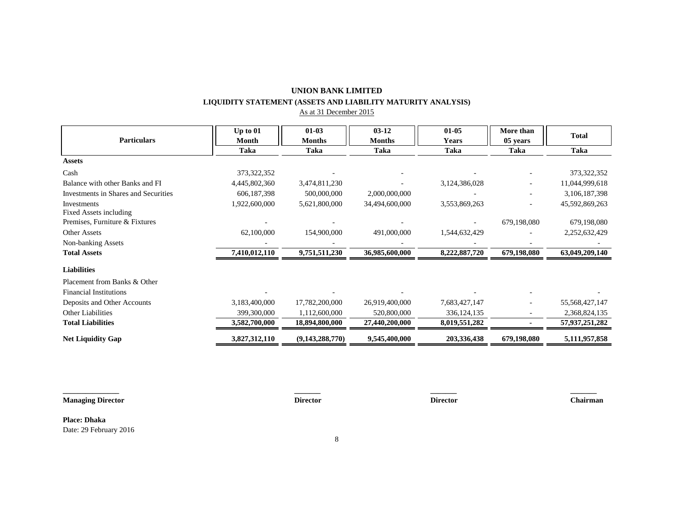# **UNION BANK LIMITED LIQUIDITY STATEMENT (ASSETS AND LIABILITY MATURITY ANALYSIS)**

As at 31 December 2015

|                                      | Up to 01      | $01-03$         | $03 - 12$      | $01 - 05$     | More than   |                |
|--------------------------------------|---------------|-----------------|----------------|---------------|-------------|----------------|
| <b>Particulars</b>                   | Month         | <b>Months</b>   | <b>Months</b>  | <b>Years</b>  | 05 years    | <b>Total</b>   |
|                                      | Taka          | Taka            | Taka           | Taka          | Taka        | <b>Taka</b>    |
| <b>Assets</b>                        |               |                 |                |               |             |                |
| Cash                                 | 373,322,352   |                 |                |               |             | 373, 322, 352  |
| Balance with other Banks and FI      | 4,445,802,360 | 3,474,811,230   |                | 3,124,386,028 |             | 11,044,999,618 |
| Investments in Shares and Securities | 606, 187, 398 | 500,000,000     | 2,000,000,000  |               |             | 3,106,187,398  |
| Investments                          | 1,922,600,000 | 5,621,800,000   | 34,494,600,000 | 3,553,869,263 |             | 45,592,869,263 |
| Fixed Assets including               |               |                 |                |               |             |                |
| Premises, Furniture & Fixtures       |               |                 |                |               | 679,198,080 | 679,198,080    |
| <b>Other Assets</b>                  | 62,100,000    | 154,900,000     | 491,000,000    | 1,544,632,429 |             | 2,252,632,429  |
| Non-banking Assets                   |               |                 |                |               |             |                |
| <b>Total Assets</b>                  | 7,410,012,110 | 9,751,511,230   | 36,985,600,000 | 8,222,887,720 | 679,198,080 | 63,049,209,140 |
| <b>Liabilities</b>                   |               |                 |                |               |             |                |
| Placement from Banks & Other         |               |                 |                |               |             |                |
| <b>Financial Institutions</b>        |               |                 |                |               |             |                |
| Deposits and Other Accounts          | 3,183,400,000 | 17,782,200,000  | 26,919,400,000 | 7,683,427,147 |             | 55,568,427,147 |
| <b>Other Liabilities</b>             | 399,300,000   | 1,112,600,000   | 520,800,000    | 336, 124, 135 |             | 2,368,824,135  |
| <b>Total Liabilities</b>             | 3,582,700,000 | 18,894,800,000  | 27,440,200,000 | 8,019,551,282 |             | 57,937,251,282 |
| <b>Net Liquidity Gap</b>             | 3,827,312,110 | (9,143,288,770) | 9,545,400,000  | 203,336,438   | 679,198,080 | 5,111,957,858  |

**Managing Director Director Director Chairman**

**Place: Dhaka** Date: 29 February 2016

**\_\_\_\_\_\_\_\_\_\_\_\_\_\_\_ \_\_\_\_\_\_\_ \_\_\_\_\_\_\_ \_\_\_\_\_\_\_**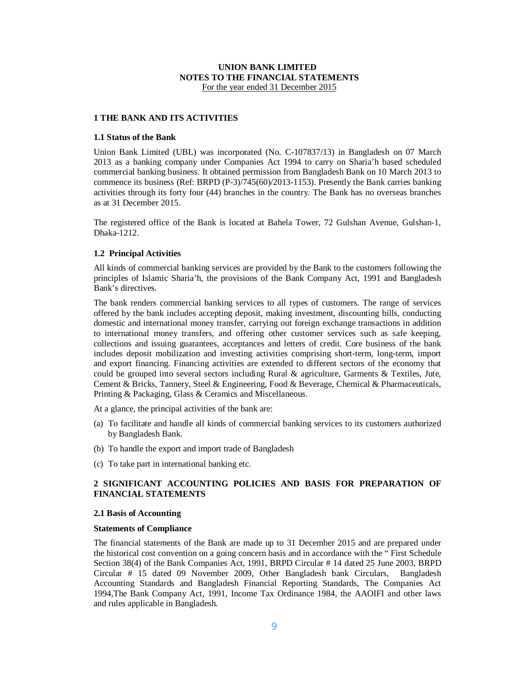## **UNION BANK LIMITED NOTES TO THE FINANCIAL STATEMENTS** For the year ended 31 December 2015

### **1 THE BANK AND ITS ACTIVITIES**

#### **1.1 Status of the Bank**

Union Bank Limited (UBL) was incorporated (No. C-107837/13) in Bangladesh on 07 March 2013 as a banking company under Companies Act 1994 to carry on Sharia'h based scheduled commercial banking business. It obtained permission from Bangladesh Bank on 10 March 2013 to commence its business (Ref: BRPD (P-3)/745(60)/2013-1153). Presently the Bank carries banking activities through its forty four (44) branches in the country. The Bank has no overseas branches as at 31 December 2015.

The registered office of the Bank is located at Bahela Tower, 72 Gulshan Avenue, Gulshan-1, Dhaka-1212.

#### **1.2 Principal Activities**

All kinds of commercial banking services are provided by the Bank to the customers following the principles of Islamic Sharia'h, the provisions of the Bank Company Act, 1991 and Bangladesh Bank's directives.

The bank renders commercial banking services to all types of customers. The range of services offered by the bank includes accepting deposit, making investment, discounting bills, conducting domestic and international money transfer, carrying out foreign exchange transactions in addition to international money transfers, and offering other customer services such as safe keeping, collections and issuing guarantees, acceptances and letters of credit. Core business of the bank includes deposit mobilization and investing activities comprising short-term, long-term, import and export financing. Financing activities are extended to different sectors of the economy that could be grouped into several sectors including Rural & agriculture, Garments & Textiles, Jute, Cement & Bricks, Tannery, Steel & Engineering, Food & Beverage, Chemical & Pharmaceuticals, Printing & Packaging, Glass & Ceramics and Miscellaneous.

At a glance, the principal activities of the bank are:

- (a) To facilitate and handle all kinds of commercial banking services to its customers authorized by Bangladesh Bank.
- (b) To handle the export and import trade of Bangladesh
- (c) To take part in international banking etc.

# **2 SIGNIFICANT ACCOUNTING POLICIES AND BASIS FOR PREPARATION OF FINANCIAL STATEMENTS**

#### **2.1 Basis of Accounting**

#### **Statements of Compliance**

The financial statements of the Bank are made up to 31 December 2015 and are prepared under the historical cost convention on a going concern basis and in accordance with the " First Schedule Section 38(4) of the Bank Companies Act, 1991, BRPD Circular # 14 dated 25 June 2003, BRPD Circular # 15 dated 09 November 2009, Other Bangladesh bank Circulars, Bangladesh Accounting Standards and Bangladesh Financial Reporting Standards, The Companies Act 1994,The Bank Company Act, 1991, Income Tax Ordinance 1984, the AAOIFI and other laws and rules applicable in Bangladesh.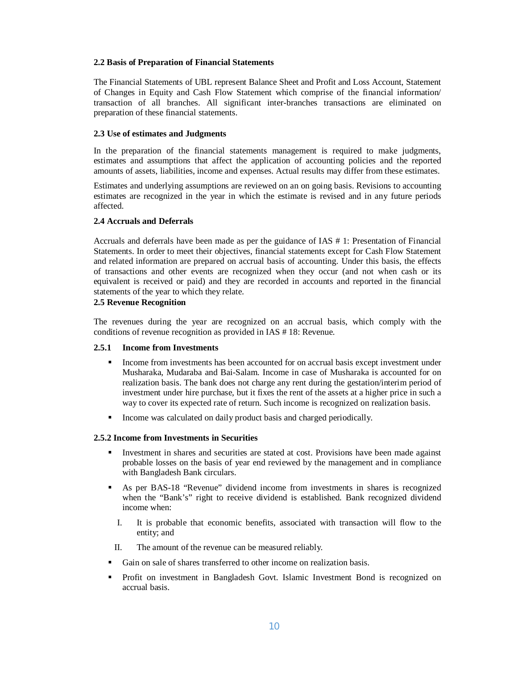#### **2.2 Basis of Preparation of Financial Statements**

The Financial Statements of UBL represent Balance Sheet and Profit and Loss Account, Statement of Changes in Equity and Cash Flow Statement which comprise of the financial information/ transaction of all branches. All significant inter-branches transactions are eliminated on preparation of these financial statements.

#### **2.3 Use of estimates and Judgments**

In the preparation of the financial statements management is required to make judgments, estimates and assumptions that affect the application of accounting policies and the reported amounts of assets, liabilities, income and expenses. Actual results may differ from these estimates.

Estimates and underlying assumptions are reviewed on an on going basis. Revisions to accounting estimates are recognized in the year in which the estimate is revised and in any future periods affected.

# **2.4 Accruals and Deferrals**

Accruals and deferrals have been made as per the guidance of IAS # 1: Presentation of Financial Statements. In order to meet their objectives, financial statements except for Cash Flow Statement and related information are prepared on accrual basis of accounting. Under this basis, the effects of transactions and other events are recognized when they occur (and not when cash or its equivalent is received or paid) and they are recorded in accounts and reported in the financial statements of the year to which they relate.

#### **2.5 Revenue Recognition**

The revenues during the year are recognized on an accrual basis, which comply with the conditions of revenue recognition as provided in IAS # 18: Revenue.

#### **2.5.1 Income from Investments**

- Income from investments has been accounted for on accrual basis except investment under Musharaka, Mudaraba and Bai-Salam. Income in case of Musharaka is accounted for on realization basis. The bank does not charge any rent during the gestation/interim period of investment under hire purchase, but it fixes the rent of the assets at a higher price in such a way to cover its expected rate of return. Such income is recognized on realization basis.
- Income was calculated on daily product basis and charged periodically.

#### **2.5.2 Income from Investments in Securities**

- Investment in shares and securities are stated at cost. Provisions have been made against probable losses on the basis of year end reviewed by the management and in compliance with Bangladesh Bank circulars.
- As per BAS-18 "Revenue" dividend income from investments in shares is recognized when the "Bank's" right to receive dividend is established. Bank recognized dividend income when:
	- I. It is probable that economic benefits, associated with transaction will flow to the entity; and
	- II. The amount of the revenue can be measured reliably.
- Gain on sale of shares transferred to other income on realization basis.
- Profit on investment in Bangladesh Govt. Islamic Investment Bond is recognized on accrual basis.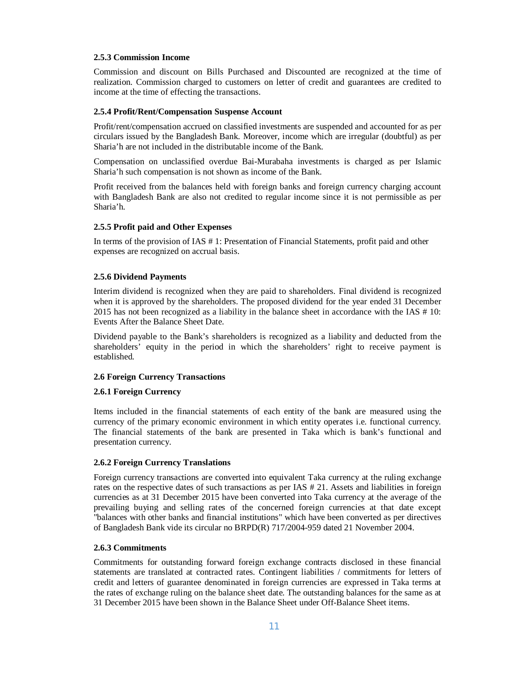### **2.5.3 Commission Income**

Commission and discount on Bills Purchased and Discounted are recognized at the time of realization. Commission charged to customers on letter of credit and guarantees are credited to income at the time of effecting the transactions.

#### **2.5.4 Profit/Rent/Compensation Suspense Account**

Profit/rent/compensation accrued on classified investments are suspended and accounted for as per circulars issued by the Bangladesh Bank. Moreover, income which are irregular (doubtful) as per Sharia'h are not included in the distributable income of the Bank.

Compensation on unclassified overdue Bai-Murabaha investments is charged as per Islamic Sharia'h such compensation is not shown as income of the Bank.

Profit received from the balances held with foreign banks and foreign currency charging account with Bangladesh Bank are also not credited to regular income since it is not permissible as per Sharia'h.

## **2.5.5 Profit paid and Other Expenses**

In terms of the provision of IAS # 1: Presentation of Financial Statements, profit paid and other expenses are recognized on accrual basis.

## **2.5.6 Dividend Payments**

Interim dividend is recognized when they are paid to shareholders. Final dividend is recognized when it is approved by the shareholders. The proposed dividend for the year ended 31 December 2015 has not been recognized as a liability in the balance sheet in accordance with the IAS # 10: Events After the Balance Sheet Date.

Dividend payable to the Bank's shareholders is recognized as a liability and deducted from the shareholders' equity in the period in which the shareholders' right to receive payment is established.

#### **2.6 Foreign Currency Transactions**

#### **2.6.1 Foreign Currency**

Items included in the financial statements of each entity of the bank are measured using the currency of the primary economic environment in which entity operates i.e. functional currency. The financial statements of the bank are presented in Taka which is bank's functional and presentation currency.

#### **2.6.2 Foreign Currency Translations**

Foreign currency transactions are converted into equivalent Taka currency at the ruling exchange rates on the respective dates of such transactions as per IAS # 21. Assets and liabilities in foreign currencies as at 31 December 2015 have been converted into Taka currency at the average of the prevailing buying and selling rates of the concerned foreign currencies at that date except "balances with other banks and financial institutions" which have been converted as per directives of Bangladesh Bank vide its circular no BRPD(R) 717/2004-959 dated 21 November 2004.

#### **2.6.3 Commitments**

Commitments for outstanding forward foreign exchange contracts disclosed in these financial statements are translated at contracted rates. Contingent liabilities / commitments for letters of credit and letters of guarantee denominated in foreign currencies are expressed in Taka terms at the rates of exchange ruling on the balance sheet date. The outstanding balances for the same as at 31 December 2015 have been shown in the Balance Sheet under Off-Balance Sheet items.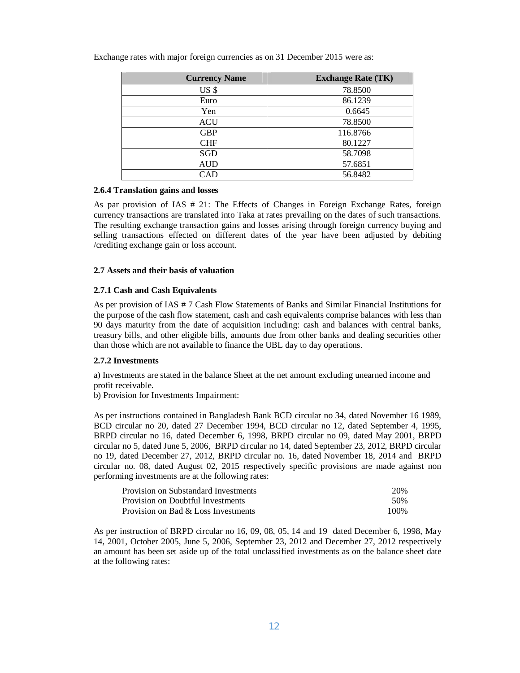| <b>Currency Name</b> | <b>Exchange Rate (TK)</b> |
|----------------------|---------------------------|
| US \$                | 78.8500                   |
| Euro                 | 86.1239                   |
| Yen                  | 0.6645                    |
| <b>ACU</b>           | 78.8500                   |
| <b>GBP</b>           | 116.8766                  |
| <b>CHF</b>           | 80.1227                   |
| <b>SGD</b>           | 58.7098                   |
| <b>AUD</b>           | 57.6851                   |
| CAD                  | 56.8482                   |

Exchange rates with major foreign currencies as on 31 December 2015 were as:

#### **2.6.4 Translation gains and losses**

As par provision of IAS # 21: The Effects of Changes in Foreign Exchange Rates, foreign currency transactions are translated into Taka at rates prevailing on the dates of such transactions. The resulting exchange transaction gains and losses arising through foreign currency buying and selling transactions effected on different dates of the year have been adjusted by debiting /crediting exchange gain or loss account.

#### **2.7 Assets and their basis of valuation**

#### **2.7.1 Cash and Cash Equivalents**

As per provision of IAS # 7 Cash Flow Statements of Banks and Similar Financial Institutions for the purpose of the cash flow statement, cash and cash equivalents comprise balances with less than 90 days maturity from the date of acquisition including: cash and balances with central banks, treasury bills, and other eligible bills, amounts due from other banks and dealing securities other than those which are not available to finance the UBL day to day operations.

## **2.7.2 Investments**

a) Investments are stated in the balance Sheet at the net amount excluding unearned income and profit receivable.

b) Provision for Investments Impairment:

As per instructions contained in Bangladesh Bank BCD circular no 34, dated November 16 1989, BCD circular no 20, dated 27 December 1994, BCD circular no 12, dated September 4, 1995, BRPD circular no 16, dated December 6, 1998, BRPD circular no 09, dated May 2001, BRPD circular no 5, dated June 5, 2006, BRPD circular no 14, dated September 23, 2012, BRPD circular no 19, dated December 27, 2012, BRPD circular no. 16, dated November 18, 2014 and BRPD circular no. 08, dated August 02, 2015 respectively specific provisions are made against non performing investments are at the following rates:

| Provision on Substandard Investments | 20%   |
|--------------------------------------|-------|
| Provision on Doubtful Investments    | .50%  |
| Provision on Bad & Loss Investments  | 100\% |

As per instruction of BRPD circular no 16, 09, 08, 05, 14 and 19 dated December 6, 1998, May 14, 2001, October 2005, June 5, 2006, September 23, 2012 and December 27, 2012 respectively an amount has been set aside up of the total unclassified investments as on the balance sheet date at the following rates: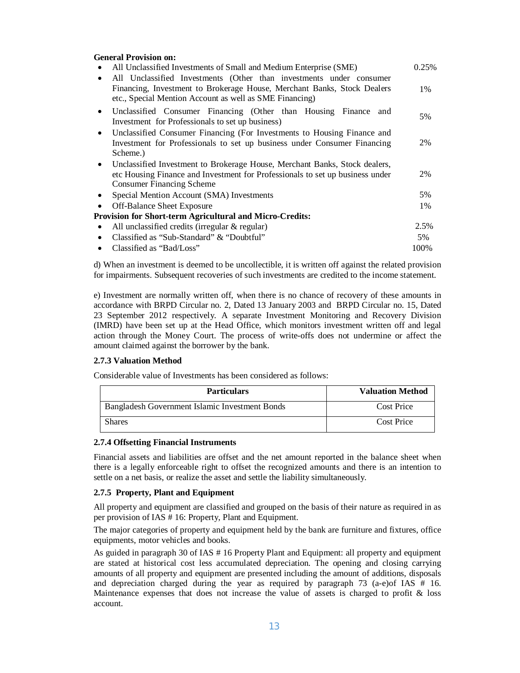| <b>General Provision on:</b>                                                            |       |
|-----------------------------------------------------------------------------------------|-------|
| All Unclassified Investments of Small and Medium Enterprise (SME)                       | 0.25% |
| All Unclassified Investments (Other than investments under consumer<br>$\bullet$        |       |
| Financing, Investment to Brokerage House, Merchant Banks, Stock Dealers                 | 1%    |
| etc., Special Mention Account as well as SME Financing)                                 |       |
| Unclassified Consumer Financing (Other than Housing Finance and<br>$\bullet$            | 5%    |
| Investment for Professionals to set up business)                                        |       |
| Unclassified Consumer Financing (For Investments to Housing Finance and<br>$\bullet$    |       |
| Investment for Professionals to set up business under Consumer Financing                | 2%    |
| Scheme.)                                                                                |       |
| Unclassified Investment to Brokerage House, Merchant Banks, Stock dealers,<br>$\bullet$ |       |
| etc Housing Finance and Investment for Professionals to set up business under           | 2%    |
| <b>Consumer Financing Scheme</b>                                                        |       |
| Special Mention Account (SMA) Investments<br>٠                                          | 5%    |
| Off-Balance Sheet Exposure<br>٠                                                         | 1%    |
| <b>Provision for Short-term Agricultural and Micro-Credits:</b>                         |       |
| All unclassified credits (irregular $\&$ regular)<br>٠                                  | 2.5%  |
| Classified as "Sub-Standard" & "Doubtful"<br>٠                                          | 5%    |
| Classified as "Bad/Loss"                                                                | 100%  |

d) When an investment is deemed to be uncollectible, it is written off against the related provision for impairments. Subsequent recoveries of such investments are credited to the income statement.

e) Investment are normally written off, when there is no chance of recovery of these amounts in accordance with BRPD Circular no. 2, Dated 13 January 2003 and BRPD Circular no. 15, Dated 23 September 2012 respectively. A separate Investment Monitoring and Recovery Division (IMRD) have been set up at the Head Office, which monitors investment written off and legal action through the Money Court. The process of write-offs does not undermine or affect the amount claimed against the borrower by the bank.

## **2.7.3 Valuation Method**

Considerable value of Investments has been considered as follows:

| <b>Particulars</b>                             | <b>Valuation Method</b> |
|------------------------------------------------|-------------------------|
| Bangladesh Government Islamic Investment Bonds | Cost Price              |
| Shares                                         | <b>Cost Price</b>       |

#### **2.7.4 Offsetting Financial Instruments**

Financial assets and liabilities are offset and the net amount reported in the balance sheet when there is a legally enforceable right to offset the recognized amounts and there is an intention to settle on a net basis, or realize the asset and settle the liability simultaneously.

#### **2.7.5 Property, Plant and Equipment**

All property and equipment are classified and grouped on the basis of their nature as required in as per provision of IAS # 16: Property, Plant and Equipment.

The major categories of property and equipment held by the bank are furniture and fixtures, office equipments, motor vehicles and books.

As guided in paragraph 30 of IAS # 16 Property Plant and Equipment: all property and equipment are stated at historical cost less accumulated depreciation. The opening and closing carrying amounts of all property and equipment are presented including the amount of additions, disposals and depreciation charged during the year as required by paragraph  $73$  (a-e)of IAS  $#$  16. Maintenance expenses that does not increase the value of assets is charged to profit  $\&$  loss account.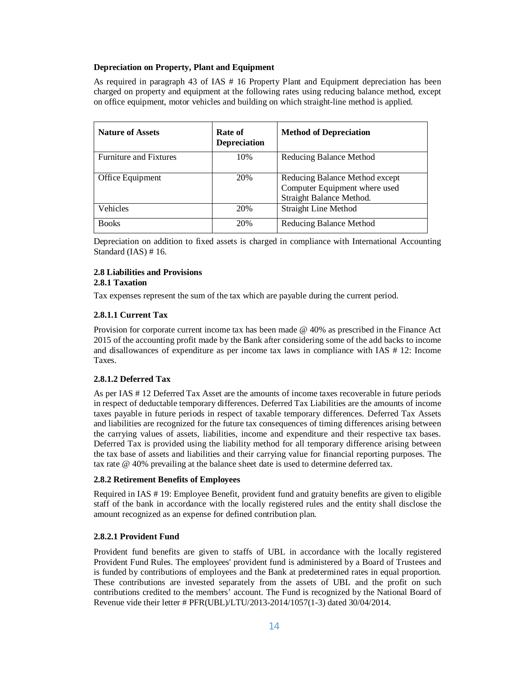## **Depreciation on Property, Plant and Equipment**

As required in paragraph 43 of IAS # 16 Property Plant and Equipment depreciation has been charged on property and equipment at the following rates using reducing balance method, except on office equipment, motor vehicles and building on which straight-line method is applied.

| <b>Nature of Assets</b>       | Rate of<br><b>Depreciation</b> | <b>Method of Depreciation</b>                                                               |
|-------------------------------|--------------------------------|---------------------------------------------------------------------------------------------|
| <b>Furniture and Fixtures</b> | 10%                            | Reducing Balance Method                                                                     |
| Office Equipment              | 20%                            | Reducing Balance Method except<br>Computer Equipment where used<br>Straight Balance Method. |
| Vehicles                      | 20%                            | <b>Straight Line Method</b>                                                                 |
| <b>Books</b>                  | 20%                            | Reducing Balance Method                                                                     |

Depreciation on addition to fixed assets is charged in compliance with International Accounting Standard (IAS) # 16.

# **2.8 Liabilities and Provisions**

# **2.8.1 Taxation**

Tax expenses represent the sum of the tax which are payable during the current period.

## **2.8.1.1 Current Tax**

Provision for corporate current income tax has been made @ 40% as prescribed in the Finance Act 2015 of the accounting profit made by the Bank after considering some of the add backs to income and disallowances of expenditure as per income tax laws in compliance with IAS # 12: Income Taxes.

## **2.8.1.2 Deferred Tax**

As per IAS # 12 Deferred Tax Asset are the amounts of income taxes recoverable in future periods in respect of deductable temporary differences. Deferred Tax Liabilities are the amounts of income taxes payable in future periods in respect of taxable temporary differences. Deferred Tax Assets and liabilities are recognized for the future tax consequences of timing differences arising between the carrying values of assets, liabilities, income and expenditure and their respective tax bases. Deferred Tax is provided using the liability method for all temporary difference arising between the tax base of assets and liabilities and their carrying value for financial reporting purposes. The tax rate @ 40% prevailing at the balance sheet date is used to determine deferred tax.

## **2.8.2 Retirement Benefits of Employees**

Required in IAS # 19: Employee Benefit, provident fund and gratuity benefits are given to eligible staff of the bank in accordance with the locally registered rules and the entity shall disclose the amount recognized as an expense for defined contribution plan.

## **2.8.2.1 Provident Fund**

Provident fund benefits are given to staffs of UBL in accordance with the locally registered Provident Fund Rules. The employees' provident fund is administered by a Board of Trustees and is funded by contributions of employees and the Bank at predetermined rates in equal proportion. These contributions are invested separately from the assets of UBL and the profit on such contributions credited to the members' account. The Fund is recognized by the National Board of Revenue vide their letter # PFR(UBL)/LTU/2013-2014/1057(1-3) dated 30/04/2014.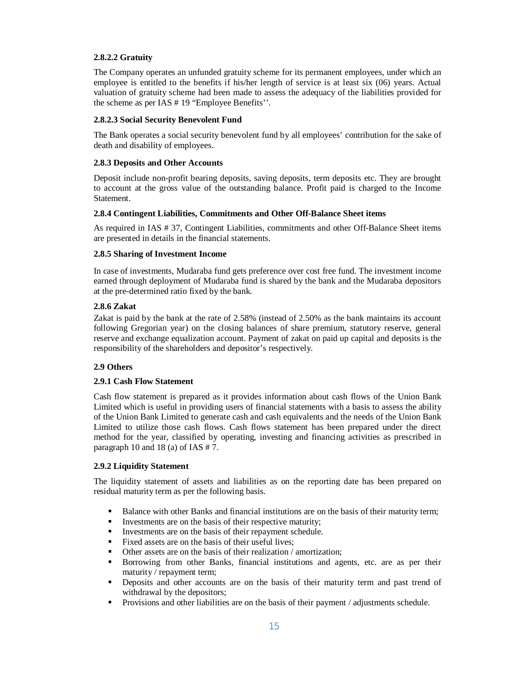# **2.8.2.2 Gratuity**

The Company operates an unfunded gratuity scheme for its permanent employees, under which an employee is entitled to the benefits if his/her length of service is at least six (06) years. Actual valuation of gratuity scheme had been made to assess the adequacy of the liabilities provided for the scheme as per IAS # 19 "Employee Benefits''.

## **2.8.2.3 Social Security Benevolent Fund**

The Bank operates a social security benevolent fund by all employees' contribution for the sake of death and disability of employees.

## **2.8.3 Deposits and Other Accounts**

Deposit include non-profit bearing deposits, saving deposits, term deposits etc. They are brought to account at the gross value of the outstanding balance. Profit paid is charged to the Income Statement.

## **2.8.4 Contingent Liabilities, Commitments and Other Off-Balance Sheet items**

As required in IAS # 37, Contingent Liabilities, commitments and other Off-Balance Sheet items are presented in details in the financial statements.

## **2.8.5 Sharing of Investment Income**

In case of investments, Mudaraba fund gets preference over cost free fund. The investment income earned through deployment of Mudaraba fund is shared by the bank and the Mudaraba depositors at the pre-determined ratio fixed by the bank.

## **2.8.6 Zakat**

Zakat is paid by the bank at the rate of 2.58% (instead of 2.50% as the bank maintains its account following Gregorian year) on the closing balances of share premium, statutory reserve, general reserve and exchange equalization account. Payment of zakat on paid up capital and deposits is the responsibility of the shareholders and depositor's respectively.

# **2.9 Others**

# **2.9.1 Cash Flow Statement**

Cash flow statement is prepared as it provides information about cash flows of the Union Bank Limited which is useful in providing users of financial statements with a basis to assess the ability of the Union Bank Limited to generate cash and cash equivalents and the needs of the Union Bank Limited to utilize those cash flows. Cash flows statement has been prepared under the direct method for the year, classified by operating, investing and financing activities as prescribed in paragraph 10 and 18 (a) of IAS # 7.

## **2.9.2 Liquidity Statement**

The liquidity statement of assets and liabilities as on the reporting date has been prepared on residual maturity term as per the following basis.

- Balance with other Banks and financial institutions are on the basis of their maturity term;
- $\blacksquare$  Investments are on the basis of their respective maturity;
- Investments are on the basis of their repayment schedule.
- Fixed assets are on the basis of their useful lives;<br> $\blacksquare$  Other assets are on the basis of their realization
- Other assets are on the basis of their realization / amortization;
- Borrowing from other Banks, financial institutions and agents, etc. are as per their maturity / repayment term;
- Deposits and other accounts are on the basis of their maturity term and past trend of withdrawal by the depositors;
- Provisions and other liabilities are on the basis of their payment / adjustments schedule.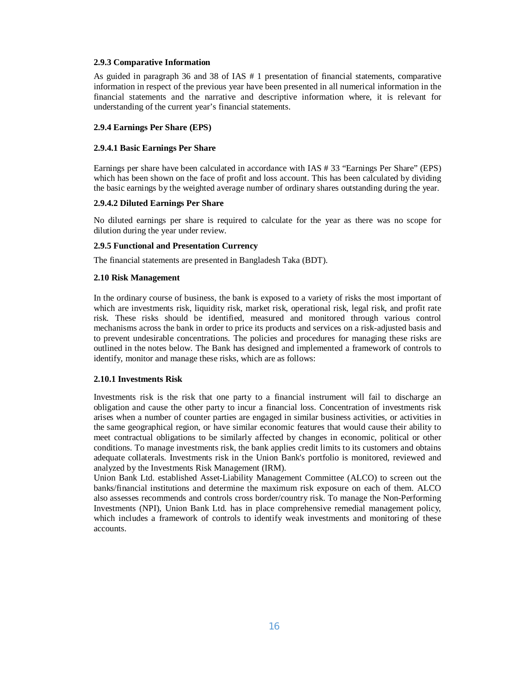#### **2.9.3 Comparative Information**

As guided in paragraph 36 and 38 of IAS # 1 presentation of financial statements, comparative information in respect of the previous year have been presented in all numerical information in the financial statements and the narrative and descriptive information where, it is relevant for understanding of the current year's financial statements.

#### **2.9.4 Earnings Per Share (EPS)**

#### **2.9.4.1 Basic Earnings Per Share**

Earnings per share have been calculated in accordance with IAS # 33 "Earnings Per Share" (EPS) which has been shown on the face of profit and loss account. This has been calculated by dividing the basic earnings by the weighted average number of ordinary shares outstanding during the year.

#### **2.9.4.2 Diluted Earnings Per Share**

No diluted earnings per share is required to calculate for the year as there was no scope for dilution during the year under review.

#### **2.9.5 Functional and Presentation Currency**

The financial statements are presented in Bangladesh Taka (BDT).

#### **2.10 Risk Management**

In the ordinary course of business, the bank is exposed to a variety of risks the most important of which are investments risk, liquidity risk, market risk, operational risk, legal risk, and profit rate risk. These risks should be identified, measured and monitored through various control mechanisms across the bank in order to price its products and services on a risk-adjusted basis and to prevent undesirable concentrations. The policies and procedures for managing these risks are outlined in the notes below. The Bank has designed and implemented a framework of controls to identify, monitor and manage these risks, which are as follows:

#### **2.10.1 Investments Risk**

Investments risk is the risk that one party to a financial instrument will fail to discharge an obligation and cause the other party to incur a financial loss. Concentration of investments risk arises when a number of counter parties are engaged in similar business activities, or activities in the same geographical region, or have similar economic features that would cause their ability to meet contractual obligations to be similarly affected by changes in economic, political or other conditions. To manage investments risk, the bank applies credit limits to its customers and obtains adequate collaterals. Investments risk in the Union Bank's portfolio is monitored, reviewed and analyzed by the Investments Risk Management (IRM).

Union Bank Ltd. established Asset-Liability Management Committee (ALCO) to screen out the banks/financial institutions and determine the maximum risk exposure on each of them. ALCO also assesses recommends and controls cross border/country risk. To manage the Non-Performing Investments (NPI), Union Bank Ltd. has in place comprehensive remedial management policy, which includes a framework of controls to identify weak investments and monitoring of these accounts.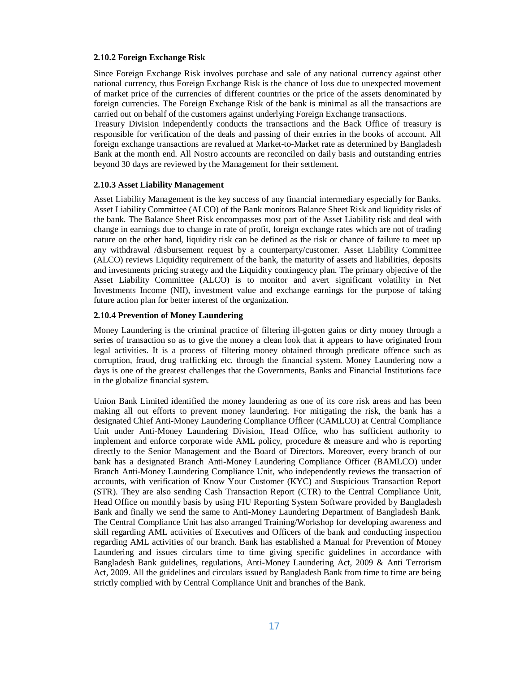#### **2.10.2 Foreign Exchange Risk**

Since Foreign Exchange Risk involves purchase and sale of any national currency against other national currency, thus Foreign Exchange Risk is the chance of loss due to unexpected movement of market price of the currencies of different countries or the price of the assets denominated by foreign currencies. The Foreign Exchange Risk of the bank is minimal as all the transactions are carried out on behalf of the customers against underlying Foreign Exchange transactions.

Treasury Division independently conducts the transactions and the Back Office of treasury is responsible for verification of the deals and passing of their entries in the books of account. All foreign exchange transactions are revalued at Market-to-Market rate as determined by Bangladesh Bank at the month end. All Nostro accounts are reconciled on daily basis and outstanding entries beyond 30 days are reviewed by the Management for their settlement.

#### **2.10.3 Asset Liability Management**

Asset Liability Management is the key success of any financial intermediary especially for Banks. Asset Liability Committee (ALCO) of the Bank monitors Balance Sheet Risk and liquidity risks of the bank. The Balance Sheet Risk encompasses most part of the Asset Liability risk and deal with change in earnings due to change in rate of profit, foreign exchange rates which are not of trading nature on the other hand, liquidity risk can be defined as the risk or chance of failure to meet up any withdrawal /disbursement request by a counterparty/customer. Asset Liability Committee (ALCO) reviews Liquidity requirement of the bank, the maturity of assets and liabilities, deposits and investments pricing strategy and the Liquidity contingency plan. The primary objective of the Asset Liability Committee (ALCO) is to monitor and avert significant volatility in Net Investments Income (NII), investment value and exchange earnings for the purpose of taking future action plan for better interest of the organization.

## **2.10.4 Prevention of Money Laundering**

Money Laundering is the criminal practice of filtering ill-gotten gains or dirty money through a series of transaction so as to give the money a clean look that it appears to have originated from legal activities. It is a process of filtering money obtained through predicate offence such as corruption, fraud, drug trafficking etc. through the financial system. Money Laundering now a days is one of the greatest challenges that the Governments, Banks and Financial Institutions face in the globalize financial system.

Union Bank Limited identified the money laundering as one of its core risk areas and has been making all out efforts to prevent money laundering. For mitigating the risk, the bank has a designated Chief Anti-Money Laundering Compliance Officer (CAMLCO) at Central Compliance Unit under Anti-Money Laundering Division, Head Office, who has sufficient authority to implement and enforce corporate wide AML policy, procedure & measure and who is reporting directly to the Senior Management and the Board of Directors. Moreover, every branch of our bank has a designated Branch Anti-Money Laundering Compliance Officer (BAMLCO) under Branch Anti-Money Laundering Compliance Unit, who independently reviews the transaction of accounts, with verification of Know Your Customer (KYC) and Suspicious Transaction Report (STR). They are also sending Cash Transaction Report (CTR) to the Central Compliance Unit, Head Office on monthly basis by using FIU Reporting System Software provided by Bangladesh Bank and finally we send the same to Anti-Money Laundering Department of Bangladesh Bank. The Central Compliance Unit has also arranged Training/Workshop for developing awareness and skill regarding AML activities of Executives and Officers of the bank and conducting inspection regarding AML activities of our branch. Bank has established a Manual for Prevention of Money Laundering and issues circulars time to time giving specific guidelines in accordance with Bangladesh Bank guidelines, regulations, Anti-Money Laundering Act, 2009 & Anti Terrorism Act, 2009. All the guidelines and circulars issued by Bangladesh Bank from time to time are being strictly complied with by Central Compliance Unit and branches of the Bank.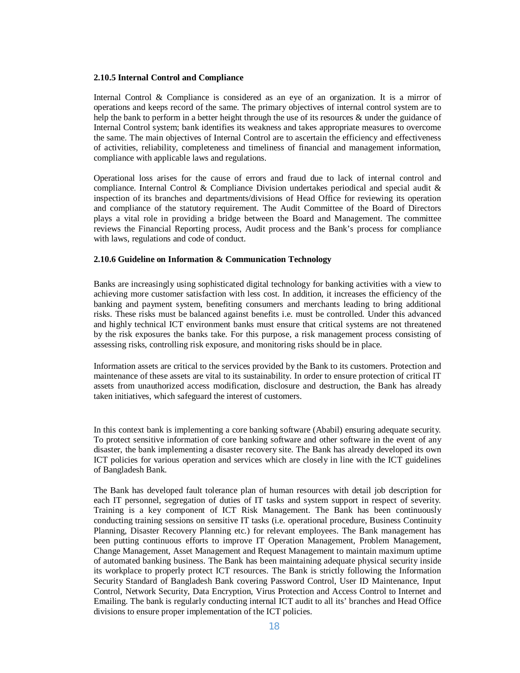#### **2.10.5 Internal Control and Compliance**

Internal Control & Compliance is considered as an eye of an organization. It is a mirror of operations and keeps record of the same. The primary objectives of internal control system are to help the bank to perform in a better height through the use of its resources & under the guidance of Internal Control system; bank identifies its weakness and takes appropriate measures to overcome the same. The main objectives of Internal Control are to ascertain the efficiency and effectiveness of activities, reliability, completeness and timeliness of financial and management information, compliance with applicable laws and regulations.

Operational loss arises for the cause of errors and fraud due to lack of internal control and compliance. Internal Control & Compliance Division undertakes periodical and special audit & inspection of its branches and departments/divisions of Head Office for reviewing its operation and compliance of the statutory requirement. The Audit Committee of the Board of Directors plays a vital role in providing a bridge between the Board and Management. The committee reviews the Financial Reporting process, Audit process and the Bank's process for compliance with laws, regulations and code of conduct.

#### **2.10.6 Guideline on Information & Communication Technology**

Banks are increasingly using sophisticated digital technology for banking activities with a view to achieving more customer satisfaction with less cost. In addition, it increases the efficiency of the banking and payment system, benefiting consumers and merchants leading to bring additional risks. These risks must be balanced against benefits i.e. must be controlled. Under this advanced and highly technical ICT environment banks must ensure that critical systems are not threatened by the risk exposures the banks take. For this purpose, a risk management process consisting of assessing risks, controlling risk exposure, and monitoring risks should be in place.

Information assets are critical to the services provided by the Bank to its customers. Protection and maintenance of these assets are vital to its sustainability. In order to ensure protection of critical IT assets from unauthorized access modification, disclosure and destruction, the Bank has already taken initiatives, which safeguard the interest of customers.

In this context bank is implementing a core banking software (Ababil) ensuring adequate security. To protect sensitive information of core banking software and other software in the event of any disaster, the bank implementing a disaster recovery site. The Bank has already developed its own ICT policies for various operation and services which are closely in line with the ICT guidelines of Bangladesh Bank.

The Bank has developed fault tolerance plan of human resources with detail job description for each IT personnel, segregation of duties of IT tasks and system support in respect of severity. Training is a key component of ICT Risk Management. The Bank has been continuously conducting training sessions on sensitive IT tasks (i.e. operational procedure, Business Continuity Planning, Disaster Recovery Planning etc.) for relevant employees. The Bank management has been putting continuous efforts to improve IT Operation Management, Problem Management, Change Management, Asset Management and Request Management to maintain maximum uptime of automated banking business. The Bank has been maintaining adequate physical security inside its workplace to properly protect ICT resources. The Bank is strictly following the Information Security Standard of Bangladesh Bank covering Password Control, User ID Maintenance, Input Control, Network Security, Data Encryption, Virus Protection and Access Control to Internet and Emailing. The bank is regularly conducting internal ICT audit to all its' branches and Head Office divisions to ensure proper implementation of the ICT policies.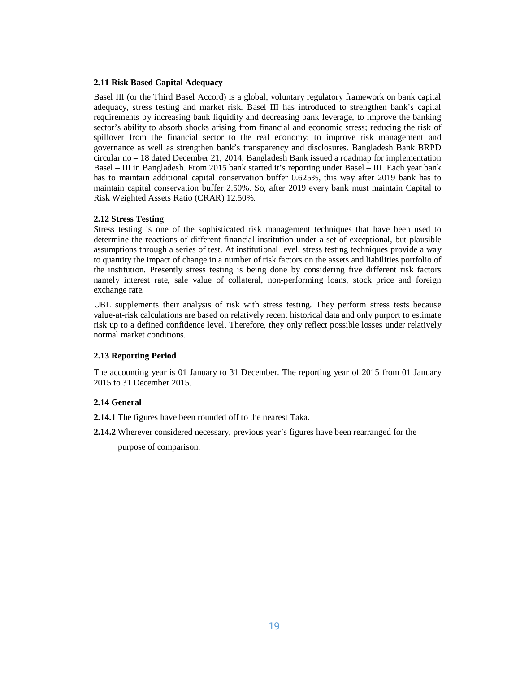#### **2.11 Risk Based Capital Adequacy**

Basel III (or the Third Basel Accord) is a global, voluntary regulatory framework on bank capital adequacy, stress testing and market risk. Basel III has introduced to strengthen bank's capital requirements by increasing bank liquidity and decreasing bank leverage, to improve the banking sector's ability to absorb shocks arising from financial and economic stress; reducing the risk of spillover from the financial sector to the real economy; to improve risk management and governance as well as strengthen bank's transparency and disclosures. Bangladesh Bank BRPD circular no – 18 dated December 21, 2014, Bangladesh Bank issued a roadmap for implementation Basel – III in Bangladesh. From 2015 bank started it's reporting under Basel – III. Each year bank has to maintain additional capital conservation buffer 0.625%, this way after 2019 bank has to maintain capital conservation buffer 2.50%. So, after 2019 every bank must maintain Capital to Risk Weighted Assets Ratio (CRAR) 12.50%.

#### **2.12 Stress Testing**

Stress testing is one of the sophisticated risk management techniques that have been used to determine the reactions of different financial institution under a set of exceptional, but plausible assumptions through a series of test. At institutional level, stress testing techniques provide a way to quantity the impact of change in a number of risk factors on the assets and liabilities portfolio of the institution. Presently stress testing is being done by considering five different risk factors namely interest rate, sale value of collateral, non-performing loans, stock price and foreign exchange rate.

UBL supplements their analysis of risk with stress testing. They perform stress tests because value-at-risk calculations are based on relatively recent historical data and only purport to estimate risk up to a defined confidence level. Therefore, they only reflect possible losses under relatively normal market conditions.

### **2.13 Reporting Period**

The accounting year is 01 January to 31 December. The reporting year of 2015 from 01 January 2015 to 31 December 2015.

## **2.14 General**

- **2.14.1** The figures have been rounded off to the nearest Taka.
- **2.14.2** Wherever considered necessary, previous year's figures have been rearranged for the

purpose of comparison.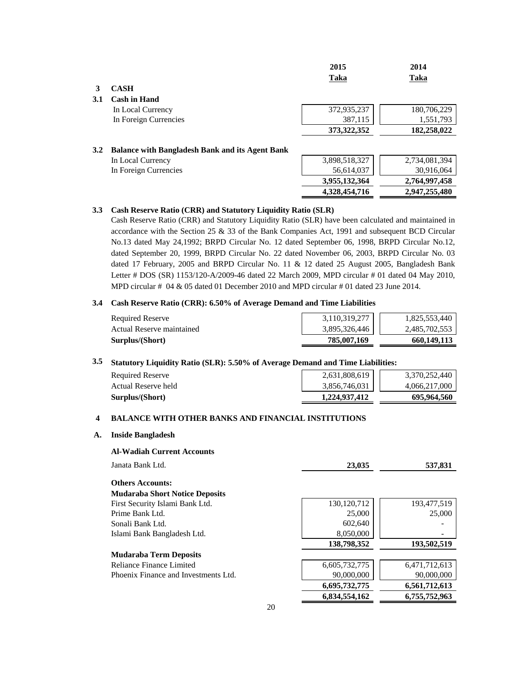|     |                                                        | 2015<br>Taka  | 2014<br>Taka  |
|-----|--------------------------------------------------------|---------------|---------------|
|     | <b>CASH</b>                                            |               |               |
| 3.1 | <b>Cash in Hand</b>                                    |               |               |
|     | In Local Currency                                      | 372,935,237   | 180,706,229   |
|     | In Foreign Currencies                                  | 387,115       | 1,551,793     |
|     |                                                        | 373, 322, 352 | 182,258,022   |
| 3.2 | <b>Balance with Bangladesh Bank and its Agent Bank</b> |               |               |
|     | In Local Currency                                      | 3,898,518,327 | 2,734,081,394 |
|     | In Foreign Currencies                                  | 56,614,037    | 30,916,064    |
|     |                                                        | 3,955,132,364 | 2,764,997,458 |
|     |                                                        | 4,328,454,716 | 2,947,255,480 |

#### **3.3 Cash Reserve Ratio (CRR) and Statutory Liquidity Ratio (SLR)**

Cash Reserve Ratio (CRR) and Statutory Liquidity Ratio (SLR) have been calculated and maintained in accordance with the Section 25 & 33 of the Bank Companies Act, 1991 and subsequent BCD Circular No.13 dated May 24,1992; BRPD Circular No. 12 dated September 06, 1998, BRPD Circular No.12, dated September 20, 1999, BRPD Circular No. 22 dated November 06, 2003, BRPD Circular No. 03 dated 17 February, 2005 and BRPD Circular No. 11 & 12 dated 25 August 2005, Bangladesh Bank Letter # DOS (SR) 1153/120-A/2009-46 dated 22 March 2009, MPD circular # 01 dated 04 May 2010, MPD circular # 04 & 05 dated 01 December 2010 and MPD circular # 01 dated 23 June 2014.

#### **3.4 Cash Reserve Ratio (CRR): 6.50% of Average Demand and Time Liabilities**

| <b>Required Reserve</b>   | 3,110,319,277 | 1,825,553,440 |
|---------------------------|---------------|---------------|
| Actual Reserve maintained | 3,895,326,446 | 2,485,702,553 |
| Surplus/(Short)           | 785,007,169   | 660.149.113   |

#### **3.5 Statutory Liquidity Ratio (SLR): 5.50% of Average Demand and Time Liabilities:**

| Surplus/(Short)         | 1.224.937.412 | 695,964,560   |
|-------------------------|---------------|---------------|
| Actual Reserve held     | 3,856,746,031 | 4.066.217.000 |
| <b>Required Reserve</b> | 2,631,808,619 | 3.370.252.440 |
|                         |               |               |

#### **4 BALANCE WITH OTHER BANKS AND FINANCIAL INSTITUTIONS**

## **A. Inside Bangladesh**

#### **Al-Wadiah Current Accounts**

| Janata Bank Ltd.                      | 23,035        | 537,831       |
|---------------------------------------|---------------|---------------|
| <b>Others Accounts:</b>               |               |               |
| <b>Mudaraba Short Notice Deposits</b> |               |               |
| First Security Islami Bank Ltd.       | 130, 120, 712 | 193,477,519   |
| Prime Bank Ltd.                       | 25,000        | 25,000        |
| Sonali Bank Ltd.                      | 602,640       |               |
| Islami Bank Bangladesh Ltd.           | 8,050,000     |               |
|                                       | 138,798,352   | 193,502,519   |
| Mudaraba Term Deposits                |               |               |
| Reliance Finance Limited              | 6,605,732,775 | 6,471,712,613 |
| Phoenix Finance and Investments Ltd.  | 90,000,000    | 90,000,000    |
|                                       | 6,695,732,775 | 6,561,712,613 |
|                                       | 6.834.554.162 | 6,755,752,963 |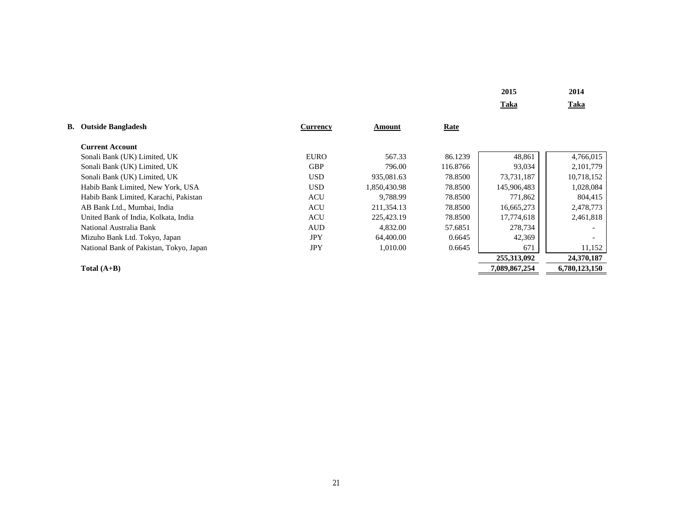| 2015 | 2014 |
|------|------|
| Taka | Taka |

| <b>B.</b> Outside Bangladesh            | <b>Currency</b> | Amount       | Rate     |               |               |
|-----------------------------------------|-----------------|--------------|----------|---------------|---------------|
| <b>Current Account</b>                  |                 |              |          |               |               |
| Sonali Bank (UK) Limited, UK            | <b>EURO</b>     | 567.33       | 86.1239  | 48,861        | 4,766,015     |
| Sonali Bank (UK) Limited, UK            | <b>GBP</b>      | 796.00       | 116.8766 | 93,034        | 2, 101, 779   |
| Sonali Bank (UK) Limited, UK            | <b>USD</b>      | 935,081.63   | 78.8500  | 73,731,187    | 10,718,152    |
| Habib Bank Limited, New York, USA       | <b>USD</b>      | 1.850.430.98 | 78.8500  | 145,906,483   | 1,028,084     |
| Habib Bank Limited, Karachi, Pakistan   | <b>ACU</b>      | 9.788.99     | 78.8500  | 771,862       | 804,415       |
| AB Bank Ltd., Mumbai, India             | <b>ACU</b>      | 211.354.13   | 78.8500  | 16,665,273    | 2,478,773     |
| United Bank of India, Kolkata, India    | <b>ACU</b>      | 225,423.19   | 78.8500  | 17,774,618    | 2,461,818     |
| National Australia Bank                 | <b>AUD</b>      | 4.832.00     | 57.6851  | 278,734       |               |
| Mizuho Bank Ltd. Tokyo, Japan           | <b>JPY</b>      | 64,400.00    | 0.6645   | 42,369        |               |
| National Bank of Pakistan, Tokyo, Japan | <b>JPY</b>      | 1.010.00     | 0.6645   | 671           | 11,152        |
|                                         |                 |              |          | 255,313,092   | 24,370,187    |
| Total $(A+B)$                           |                 |              |          | 7,089,867,254 | 6,780,123,150 |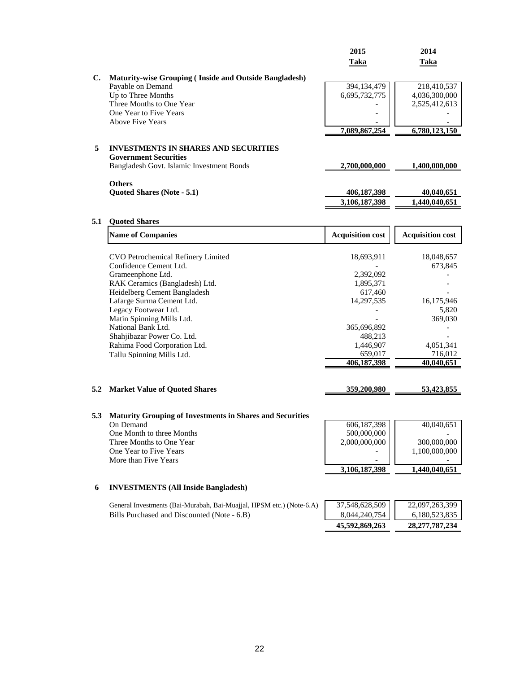|     |                                                                      | 2015                    | 2014                    |
|-----|----------------------------------------------------------------------|-------------------------|-------------------------|
|     |                                                                      | Taka                    | Taka                    |
|     |                                                                      |                         |                         |
| C.  | <b>Maturity-wise Grouping (Inside and Outside Bangladesh)</b>        | 394,134,479             | 218,410,537             |
|     | Payable on Demand<br>Up to Three Months                              | 6,695,732,775           | 4,036,300,000           |
|     | Three Months to One Year                                             |                         | 2,525,412,613           |
|     | One Year to Five Years                                               |                         |                         |
|     | <b>Above Five Years</b>                                              |                         |                         |
|     |                                                                      | 7,089,867,254           | 6,780,123,150           |
|     |                                                                      |                         |                         |
| 5   | <b>INVESTMENTS IN SHARES AND SECURITIES</b>                          |                         |                         |
|     | <b>Government Securities</b>                                         |                         |                         |
|     | Bangladesh Govt. Islamic Investment Bonds                            | 2,700,000,000           | 1,400,000,000           |
|     |                                                                      |                         |                         |
|     | <b>Others</b>                                                        |                         |                         |
|     | Quoted Shares (Note - 5.1)                                           | 406,187,398             | 40,040,651              |
|     |                                                                      | 3,106,187,398           | 1,440,040,651           |
| 5.1 | <b>Quoted Shares</b>                                                 |                         |                         |
|     |                                                                      |                         |                         |
|     | <b>Name of Companies</b>                                             | <b>Acquisition cost</b> | <b>Acquisition cost</b> |
|     |                                                                      |                         |                         |
|     | CVO Petrochemical Refinery Limited<br>Confidence Cement Ltd.         | 18,693,911              | 18,048,657              |
|     | Grameenphone Ltd.                                                    | 2,392,092               | 673,845                 |
|     | RAK Ceramics (Bangladesh) Ltd.                                       | 1,895,371               |                         |
|     | Heidelberg Cement Bangladesh                                         | 617,460                 |                         |
|     | Lafarge Surma Cement Ltd.                                            | 14,297,535              | 16,175,946              |
|     | Legacy Footwear Ltd.                                                 |                         | 5,820                   |
|     | Matin Spinning Mills Ltd.                                            |                         | 369,030                 |
|     | National Bank Ltd.                                                   | 365,696,892             |                         |
|     | Shahjibazar Power Co. Ltd.                                           | 488,213                 |                         |
|     | Rahima Food Corporation Ltd.                                         | 1,446,907               | 4,051,341               |
|     | Tallu Spinning Mills Ltd.                                            | 659,017                 | 716,012                 |
|     |                                                                      | 406,187,398             | 40,040,651              |
|     |                                                                      |                         |                         |
| 5.2 | <b>Market Value of Quoted Shares</b>                                 | 359,200,980             | 53,423,855              |
|     |                                                                      |                         |                         |
| 5.3 | <b>Maturity Grouping of Investments in Shares and Securities</b>     |                         |                         |
|     | On Demand                                                            | 606,187,398             | 40,040,651              |
|     | One Month to three Months                                            | 500,000,000             |                         |
|     | Three Months to One Year                                             | 2,000,000,000           | 300,000,000             |
|     | One Year to Five Years                                               |                         | 1,100,000,000           |
|     | More than Five Years                                                 |                         |                         |
|     |                                                                      | 3,106,187,398           | <u>1,440,040,651</u>    |
|     |                                                                      |                         |                         |
| 6   | <b>INVESTMENTS (All Inside Bangladesh)</b>                           |                         |                         |
|     | General Investments (Bai-Murabah, Bai-Muajjal, HPSM etc.) (Note-6.A) | 37,548,628,509          | 22,097,263,399          |
|     | Bills Purchased and Discounted (Note - 6.B)                          | 8,044,240,754           | 6,180,523,835           |
|     |                                                                      | 45,592,869,263          | 28, 277, 787, 234       |
|     |                                                                      |                         |                         |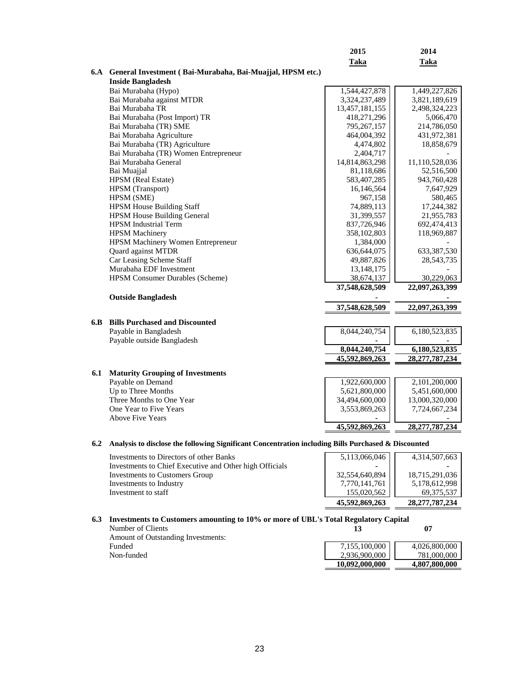|     |                                                                                                     | 2015           | 2014                            |
|-----|-----------------------------------------------------------------------------------------------------|----------------|---------------------------------|
|     |                                                                                                     | Taka           | Taka                            |
|     | 6.A General Investment (Bai-Murabaha, Bai-Muajjal, HPSM etc.)                                       |                |                                 |
|     | <b>Inside Bangladesh</b>                                                                            |                |                                 |
|     | Bai Murabaha (Hypo)                                                                                 | 1,544,427,878  | 1,449,227,826                   |
|     | Bai Murabaha against MTDR                                                                           | 3,324,237,489  | 3,821,189,619                   |
|     | Bai Murabaha TR                                                                                     | 13,457,181,155 | 2,498,324,223                   |
|     | Bai Murabaha (Post Import) TR                                                                       | 418,271,296    | 5,066,470                       |
|     | Bai Murabaha (TR) SME                                                                               | 795,267,157    | 214,786,050                     |
|     | Bai Murabaha Agriculture                                                                            | 464,004,392    | 431,972,381                     |
|     | Bai Murabaha (TR) Agriculture                                                                       | 4,474,802      | 18,858,679                      |
|     | Bai Murabaha (TR) Women Entrepreneur                                                                | 2,404,717      |                                 |
|     | Bai Murabaha General                                                                                | 14,814,863,298 | 11,110,528,036                  |
|     | Bai Muajjal                                                                                         | 81,118,686     | 52,516,500                      |
|     | HPSM (Real Estate)                                                                                  | 583,407,285    | 943,760,428                     |
|     | <b>HPSM</b> (Transport)                                                                             | 16,146,564     | 7,647,929                       |
|     | HPSM (SME)                                                                                          | 967,158        | 580,465                         |
|     | <b>HPSM House Building Staff</b>                                                                    | 74,889,113     | 17,244,382                      |
|     | <b>HPSM House Building General</b>                                                                  | 31,399,557     | 21,955,783                      |
|     | <b>HPSM</b> Industrial Term                                                                         | 837,726,946    | 692,474,413                     |
|     | <b>HPSM</b> Machinery                                                                               | 358,102,803    | 118,969,887                     |
|     | HPSM Machinery Women Entrepreneur                                                                   | 1,384,000      |                                 |
|     | Quard against MTDR                                                                                  | 636, 644, 075  | 633, 387, 530                   |
|     | Car Leasing Scheme Staff                                                                            | 49,887,826     | 28,543,735                      |
|     | Murabaha EDF Investment                                                                             | 13, 148, 175   |                                 |
|     | <b>HPSM Consumer Durables (Scheme)</b>                                                              | 38,674,137     | 30,229,063                      |
|     |                                                                                                     | 37,548,628,509 | 22,097,263,399                  |
|     | <b>Outside Bangladesh</b>                                                                           |                |                                 |
|     |                                                                                                     | 37,548,628,509 | 22,097,263,399                  |
| 6.B | <b>Bills Purchased and Discounted</b>                                                               |                |                                 |
|     | Payable in Bangladesh                                                                               | 8,044,240,754  | 6,180,523,835                   |
|     | Payable outside Bangladesh                                                                          |                |                                 |
|     |                                                                                                     | 8,044,240,754  | 6,180,523,835                   |
|     |                                                                                                     | 45,592,869,263 | 28,277,787,234                  |
| 6.1 | <b>Maturity Grouping of Investments</b>                                                             |                |                                 |
|     | Payable on Demand                                                                                   | 1,922,600,000  | 2,101,200,000                   |
|     | Up to Three Months                                                                                  | 5,621,800,000  | 5,451,600,000                   |
|     | Three Months to One Year                                                                            | 34,494,600,000 |                                 |
|     | One Year to Five Years                                                                              | 3,553,869,263  | 13,000,320,000<br>7,724,667,234 |
|     | <b>Above Five Years</b>                                                                             |                |                                 |
|     |                                                                                                     | 45,592,869,263 | 28,277,787,234                  |
|     |                                                                                                     |                |                                 |
| 6.2 | Analysis to disclose the following Significant Concentration including Bills Purchased & Discounted |                |                                 |
|     | Investments to Directors of other Banks                                                             | 5.113.066.046  | 4.314.507.663                   |

|                                                         | 45,592,869,263 | 28,277,787,234 |
|---------------------------------------------------------|----------------|----------------|
| Investment to staff                                     | 155,020,562    | 69.375.537     |
| Investments to Industry                                 | 7,770,141,761  | 5,178,612,998  |
| Investments to Customers Group                          | 32,554,640,894 | 18,715,291,036 |
| Investments to Chief Executive and Other high Officials |                |                |
| Investments to Directors of other Banks                 | 5,113,066,046  | 4,314,507,663  |

**6.3 Investments to Customers amounting to 10% or more of UBL's Total Regulatory Capital** 

Number of Clients **13 07** Amount of Outstanding Investments:  $\mbox{Non-fundred}$ 

| <b>Amount of Outstanding Investments:</b> |                |               |
|-------------------------------------------|----------------|---------------|
| Funded                                    | 7,155,100,000  | 4.026.800.000 |
| Non-funded                                | 2.936.900.000  | 781,000,000   |
|                                           | 10.092.000.000 | 4,807,800,000 |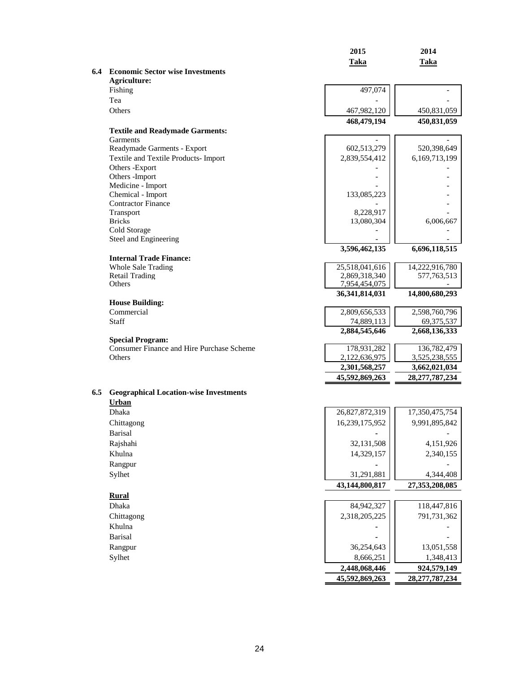|     |                                                     | 2015                         | 2014                            |
|-----|-----------------------------------------------------|------------------------------|---------------------------------|
|     |                                                     | <b>Taka</b>                  | <b>Taka</b>                     |
|     | <b>6.4</b> Economic Sector wise Investments         |                              |                                 |
|     | <b>Agriculture:</b>                                 |                              |                                 |
|     | Fishing                                             | 497,074                      |                                 |
|     | Tea                                                 |                              |                                 |
|     | Others                                              | 467,982,120                  | 450,831,059                     |
|     |                                                     | 468,479,194                  | 450,831,059                     |
|     | <b>Textile and Readymade Garments:</b><br>Garments  |                              |                                 |
|     | Readymade Garments - Export                         | 602,513,279                  | 520,398,649                     |
|     | Textile and Textile Products- Import                | 2,839,554,412                | 6,169,713,199                   |
|     | Others -Export                                      |                              |                                 |
|     | Others - Import                                     |                              |                                 |
|     | Medicine - Import                                   |                              |                                 |
|     | Chemical - Import                                   | 133,085,223                  |                                 |
|     | <b>Contractor Finance</b>                           |                              |                                 |
|     | Transport                                           | 8,228,917                    |                                 |
|     | <b>Bricks</b>                                       | 13,080,304                   | 6,006,667                       |
|     | Cold Storage                                        |                              |                                 |
|     | Steel and Engineering                               |                              |                                 |
|     |                                                     | 3,596,462,135                | 6,696,118,515                   |
|     | <b>Internal Trade Finance:</b>                      | 25,518,041,616               |                                 |
|     | <b>Whole Sale Trading</b><br><b>Retail Trading</b>  | 2,869,318,340                | 14,222,916,780<br>577, 763, 513 |
|     | Others                                              | 7,954,454,075                |                                 |
|     |                                                     | 36, 341, 814, 031            | 14,800,680,293                  |
|     | <b>House Building:</b>                              |                              |                                 |
|     | Commercial                                          | 2,809,656,533                | 2,598,760,796                   |
|     | Staff                                               | 74,889,113                   | 69,375,537                      |
|     |                                                     | 2,884,545,646                | 2,668,136,333                   |
|     | <b>Special Program:</b>                             |                              |                                 |
|     | Consumer Finance and Hire Purchase Scheme<br>Others | 178,931,282<br>2,122,636,975 | 136,782,479                     |
|     |                                                     | 2,301,568,257                | 3,525,238,555<br>3,662,021,034  |
|     |                                                     | 45,592,869,263               | 28, 277, 787, 234               |
|     |                                                     |                              |                                 |
| 6.5 | <b>Geographical Location-wise Investments</b>       |                              |                                 |
|     | Urban                                               |                              |                                 |
|     | <b>Dhaka</b>                                        | 26,827,872,319               | 17,350,475,754                  |
|     | Chittagong                                          | 16,239,175,952               | 9,991,895,842                   |
|     | <b>Barisal</b>                                      |                              |                                 |
|     | Rajshahi                                            | 32,131,508                   | 4,151,926                       |
|     | Khulna                                              | 14,329,157                   | 2,340,155                       |
|     | Rangpur                                             |                              |                                 |
|     | Sylhet                                              | 31,291,881                   | 4,344,408                       |
|     |                                                     | 43,144,800,817               | 27,353,208,085                  |
|     | <b>Rural</b>                                        |                              |                                 |
|     | Dhaka                                               | 84,942,327                   | 118,447,816                     |
|     | Chittagong                                          | 2,318,205,225                | 791,731,362                     |
|     | Khulna                                              |                              |                                 |
|     | <b>Barisal</b>                                      |                              |                                 |
|     | Rangpur                                             | 36,254,643                   | 13,051,558                      |
|     | Sylhet                                              | 8,666,251                    | 1,348,413                       |
|     |                                                     | 2,448,068,446                | 924,579,149                     |
|     |                                                     | 45,592,869,263               | 28,277,787,234                  |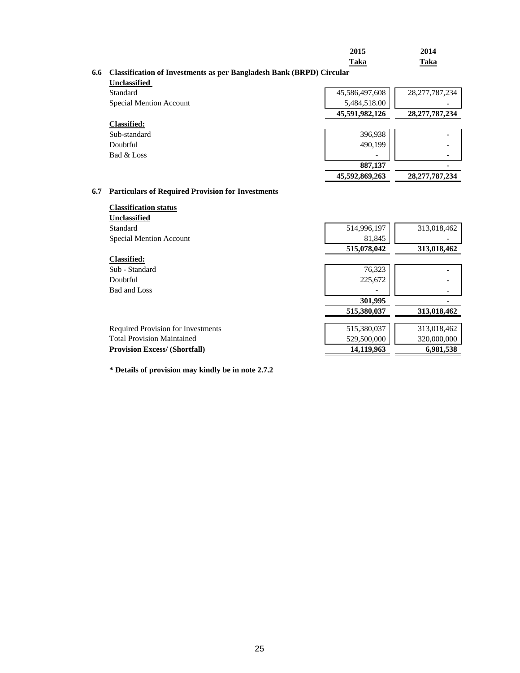| 2015        | 2014        |
|-------------|-------------|
| <b>Taka</b> | <b>Taka</b> |

#### **6.6 Classification of Investments as per Bangladesh Bank (BRPD) Circular**

| <b>Unclassified</b> |  |
|---------------------|--|
| Standard            |  |
| Special Mention     |  |

| Standard                       | 45,586,497,608 | 28, 277, 787, 234 |
|--------------------------------|----------------|-------------------|
| <b>Special Mention Account</b> | 5,484,518.00   |                   |
|                                | 45,591,982,126 | 28, 277, 787, 234 |
| <b>Classified:</b>             |                |                   |
| Sub-standard                   | 396,938        |                   |
| Doubtful                       | 490.199        |                   |
| Bad & Loss                     |                |                   |
|                                | 887,137        |                   |
|                                | 45,592,869,263 | 28, 277, 787, 234 |

## **6.7 Particulars of Required Provision for Investments**

| <b>Classification status</b><br><b>Unclassified</b> |             |             |
|-----------------------------------------------------|-------------|-------------|
| Standard                                            | 514,996,197 | 313,018,462 |
| <b>Special Mention Account</b>                      | 81,845      |             |
|                                                     | 515,078,042 | 313,018,462 |
| <b>Classified:</b>                                  |             |             |
| Sub - Standard                                      | 76,323      |             |
| Doubtful                                            | 225,672     |             |
| Bad and Loss                                        |             |             |
|                                                     | 301,995     |             |
|                                                     | 515,380,037 | 313,018,462 |
|                                                     |             |             |
| <b>Required Provision for Investments</b>           | 515,380,037 | 313,018,462 |
| <b>Total Provision Maintained</b>                   | 529,500,000 | 320,000,000 |
| <b>Provision Excess/ (Shortfall)</b>                | 14,119,963  | 6.981.538   |

**\* Details of provision may kindly be in note 2.7.2**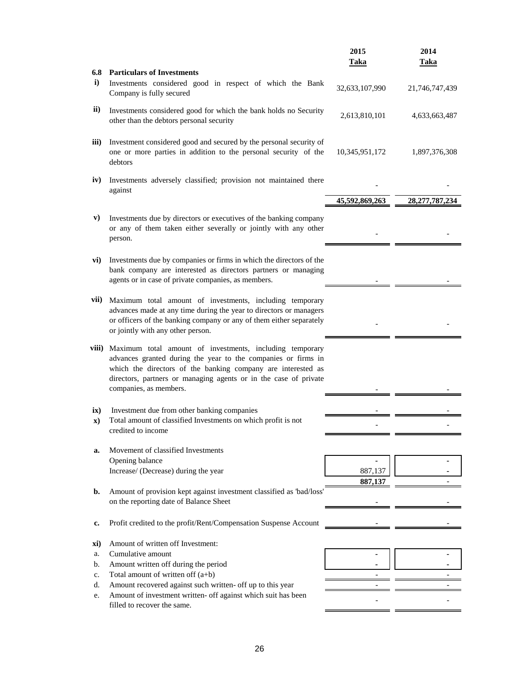|              |                                                                                                                                                                                                                                                                                         | 2015               | 2014              |
|--------------|-----------------------------------------------------------------------------------------------------------------------------------------------------------------------------------------------------------------------------------------------------------------------------------------|--------------------|-------------------|
|              |                                                                                                                                                                                                                                                                                         | <b>Taka</b>        | <b>Taka</b>       |
| 6.8          | <b>Particulars of Investments</b>                                                                                                                                                                                                                                                       |                    |                   |
| $\mathbf{i}$ | Investments considered good in respect of which the Bank<br>Company is fully secured                                                                                                                                                                                                    | 32,633,107,990     | 21,746,747,439    |
| ii)          | Investments considered good for which the bank holds no Security<br>other than the debtors personal security                                                                                                                                                                            | 2,613,810,101      | 4,633,663,487     |
| iii)         | Investment considered good and secured by the personal security of<br>one or more parties in addition to the personal security of the<br>debtors                                                                                                                                        | 10,345,951,172     | 1,897,376,308     |
| iv)          | Investments adversely classified; provision not maintained there<br>against                                                                                                                                                                                                             |                    |                   |
|              |                                                                                                                                                                                                                                                                                         | 45,592,869,263     | 28, 277, 787, 234 |
| V)           | Investments due by directors or executives of the banking company<br>or any of them taken either severally or jointly with any other<br>person.                                                                                                                                         |                    |                   |
| vi)          | Investments due by companies or firms in which the directors of the<br>bank company are interested as directors partners or managing<br>agents or in case of private companies, as members.                                                                                             |                    |                   |
| vii)         | Maximum total amount of investments, including temporary<br>advances made at any time during the year to directors or managers<br>or officers of the banking company or any of them either separately<br>or jointly with any other person.                                              |                    |                   |
| viii)        | Maximum total amount of investments, including temporary<br>advances granted during the year to the companies or firms in<br>which the directors of the banking company are interested as<br>directors, partners or managing agents or in the case of private<br>companies, as members. |                    |                   |
|              | Investment due from other banking companies                                                                                                                                                                                                                                             |                    |                   |
| ix)<br>X)    | Total amount of classified Investments on which profit is not<br>credited to income                                                                                                                                                                                                     |                    |                   |
|              |                                                                                                                                                                                                                                                                                         |                    |                   |
| a.           | Movement of classified Investments                                                                                                                                                                                                                                                      |                    |                   |
|              | Opening balance                                                                                                                                                                                                                                                                         |                    |                   |
|              | Increase/ (Decrease) during the year                                                                                                                                                                                                                                                    | 887,137<br>887,137 |                   |
| b.           | Amount of provision kept against investment classified as 'bad/loss'                                                                                                                                                                                                                    |                    |                   |
|              | on the reporting date of Balance Sheet                                                                                                                                                                                                                                                  |                    |                   |
| c.           | Profit credited to the profit/Rent/Compensation Suspense Account                                                                                                                                                                                                                        |                    |                   |
| xi)          | Amount of written off Investment:                                                                                                                                                                                                                                                       |                    |                   |
| a.           | Cumulative amount                                                                                                                                                                                                                                                                       |                    |                   |
| b.           | Amount written off during the period                                                                                                                                                                                                                                                    |                    |                   |
| c.           | Total amount of written off $(a+b)$                                                                                                                                                                                                                                                     |                    |                   |
| d.           | Amount recovered against such written- off up to this year                                                                                                                                                                                                                              |                    |                   |
| e.           | Amount of investment written- off against which suit has been<br>filled to recover the same.                                                                                                                                                                                            |                    |                   |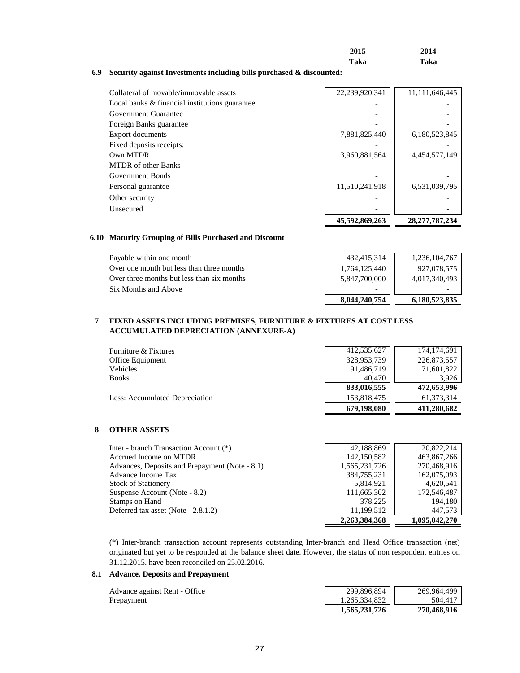| 2015        | 2014        |
|-------------|-------------|
| <b>Taka</b> | <b>Taka</b> |

## **6.9 Security against Investments including bills purchased & discounted:**

| Collateral of movable/immovable assets         | 22,239,920,341 | 11,111,646,445 |
|------------------------------------------------|----------------|----------------|
| Local banks & financial institutions guarantee |                |                |
| Government Guarantee                           |                |                |
| Foreign Banks guarantee                        |                |                |
| <b>Export documents</b>                        | 7,881,825,440  | 6,180,523,845  |
| Fixed deposits receipts:                       |                |                |
| Own MTDR                                       | 3,960,881,564  | 4,454,577,149  |
| <b>MTDR</b> of other Banks                     |                |                |
| Government Bonds                               |                |                |
| Personal guarantee                             | 11,510,241,918 | 6,531,039,795  |
| Other security                                 |                |                |
| Unsecured                                      |                |                |
|                                                | 45,592,869,263 | 28,277,787,234 |

#### **6.10 Maturity Grouping of Bills Purchased and Discount**

| Payable within one month                   | 432,415,314   | 1,236,104,767 |
|--------------------------------------------|---------------|---------------|
| Over one month but less than three months  | 1,764,125,440 | 927.078.575   |
| Over three months but less than six months | 5,847,700,000 | 4.017.340.493 |
| Six Months and Above                       |               |               |
|                                            | 8,044,240,754 | 6.180.523.835 |

#### **7 FIXED ASSETS INCLUDING PREMISES, FURNITURE & FIXTURES AT COST LESS ACCUMULATED DEPRECIATION (ANNEXURE-A)**

|                                | 679,198,080 | 411.280.682   |
|--------------------------------|-------------|---------------|
| Less: Accumulated Depreciation | 153,818,475 | 61.373.314    |
|                                | 833,016,555 | 472,653,996   |
| <b>Books</b>                   | 40.470      | 3.926         |
| Vehicles                       | 91,486,719  | 71,601,822    |
| Office Equipment               | 328,953,739 | 226,873,557   |
| Furniture & Fixtures           | 412,535,627 | 174, 174, 691 |

#### **8 OTHER ASSETS**

| Inter - branch Transaction Account (*)         | 42,188,869    | 20.822.214    |
|------------------------------------------------|---------------|---------------|
| Accrued Income on MTDR                         | 142,150,582   | 463,867,266   |
| Advances, Deposits and Prepayment (Note - 8.1) | 1,565,231,726 | 270,468,916   |
| Advance Income Tax                             | 384,755,231   | 162,075,093   |
| <b>Stock of Stationery</b>                     | 5,814,921     | 4,620,541     |
| Suspense Account (Note - 8.2)                  | 111,665,302   | 172,546,487   |
| Stamps on Hand                                 | 378,225       | 194,180       |
| Deferred tax asset (Note - 2.8.1.2)            | 11,199,512    | 447,573       |
|                                                | 2,263,384,368 | 1,095,042,270 |

(\*) Inter-branch transaction account represents outstanding Inter-branch and Head Office transaction (net) originated but yet to be responded at the balance sheet date. However, the status of non respondent entries on 31.12.2015. have been reconciled on 25.02.2016.

#### **8.1 Advance, Deposits and Prepayment**

Advance against Rent - Office Prepayment

| 299,896,894<br>1,265,334,832 | 269,964,499 |
|------------------------------|-------------|
|                              | 504,417     |
| 1,565,231,726                | 270,468,916 |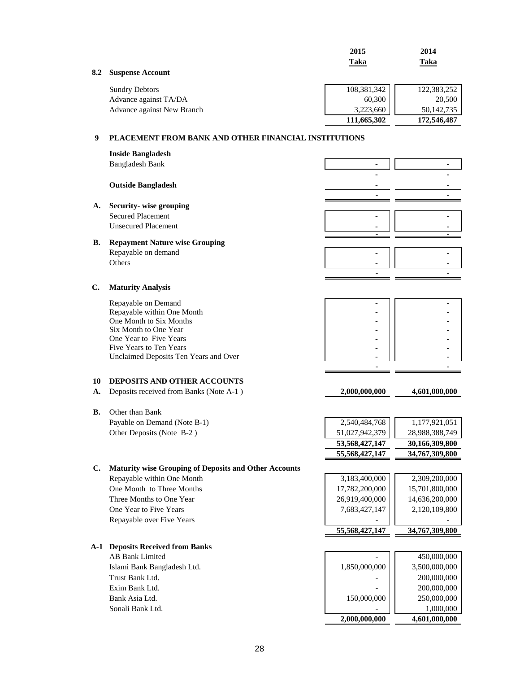|                |                                                              | 2015                            | 2014                  |
|----------------|--------------------------------------------------------------|---------------------------------|-----------------------|
|                |                                                              | Taka                            | Taka                  |
| 8.2            | <b>Suspense Account</b>                                      |                                 |                       |
|                |                                                              |                                 |                       |
|                | <b>Sundry Debtors</b>                                        | 108,381,342                     | 122,383,252           |
|                | Advance against TA/DA                                        | 60,300                          | 20,500                |
|                | Advance against New Branch                                   | 3,223,660                       | 50,142,735            |
|                |                                                              | 111,665,302                     | 172,546,487           |
| 9              | PLACEMENT FROM BANK AND OTHER FINANCIAL INSTITUTIONS         |                                 |                       |
|                |                                                              |                                 |                       |
|                | <b>Inside Bangladesh</b>                                     |                                 |                       |
|                | <b>Bangladesh Bank</b>                                       |                                 |                       |
|                |                                                              |                                 |                       |
|                | <b>Outside Bangladesh</b>                                    |                                 |                       |
|                |                                                              |                                 |                       |
| A.             | Security-wise grouping                                       |                                 |                       |
|                | <b>Secured Placement</b>                                     |                                 |                       |
|                | <b>Unsecured Placement</b>                                   |                                 |                       |
| В.             | <b>Repayment Nature wise Grouping</b>                        |                                 |                       |
|                | Repayable on demand                                          |                                 |                       |
|                | Others                                                       |                                 |                       |
|                |                                                              |                                 |                       |
|                |                                                              |                                 |                       |
| $\mathbf{C}$ . | <b>Maturity Analysis</b>                                     |                                 |                       |
|                | Repayable on Demand                                          |                                 |                       |
|                | Repayable within One Month                                   |                                 |                       |
|                | One Month to Six Months                                      |                                 |                       |
|                | Six Month to One Year                                        |                                 |                       |
|                | One Year to Five Years<br>Five Years to Ten Years            |                                 |                       |
|                | Unclaimed Deposits Ten Years and Over                        |                                 |                       |
|                |                                                              |                                 |                       |
|                |                                                              |                                 |                       |
| 10             | <b>DEPOSITS AND OTHER ACCOUNTS</b>                           |                                 |                       |
| А.             | Deposits received from Banks (Note A-1)                      | 2,000,000,000                   | 4,601,000,000         |
|                |                                                              |                                 |                       |
| В.             | Other than Bank<br>Payable on Demand (Note B-1)              |                                 | 1,177,921,051         |
|                |                                                              | 2,540,484,768<br>51,027,942,379 |                       |
|                | Other Deposits (Note B-2)                                    |                                 | 28,988,388,749        |
|                |                                                              | 53,568,427,147                  | 30,166,309,800        |
|                |                                                              | 55,568,427,147                  | <u>34,767,309,800</u> |
| C.             | <b>Maturity wise Grouping of Deposits and Other Accounts</b> |                                 |                       |
|                | Repayable within One Month                                   | 3,183,400,000                   | 2,309,200,000         |
|                | One Month to Three Months                                    | 17,782,200,000                  | 15,701,800,000        |
|                | Three Months to One Year                                     | 26,919,400,000                  | 14,636,200,000        |
|                | One Year to Five Years                                       | 7,683,427,147                   | 2,120,109,800         |
|                | Repayable over Five Years                                    |                                 |                       |
|                |                                                              | 55,568,427,147                  | 34,767,309,800        |
|                | <b>A-1 Deposits Received from Banks</b>                      |                                 |                       |
|                | <b>AB Bank Limited</b>                                       |                                 | 450,000,000           |
|                | Islami Bank Bangladesh Ltd.                                  | 1,850,000,000                   | 3,500,000,000         |
|                | Trust Bank Ltd.                                              |                                 | 200,000,000           |
|                | Exim Bank Ltd.                                               |                                 | 200,000,000           |
|                | Bank Asia Ltd.                                               | 150,000,000                     | 250,000,000           |
|                | Sonali Bank Ltd.                                             |                                 | 1,000,000             |
|                |                                                              | 2,000,000,000                   | 4,601,000,000         |
|                |                                                              |                                 |                       |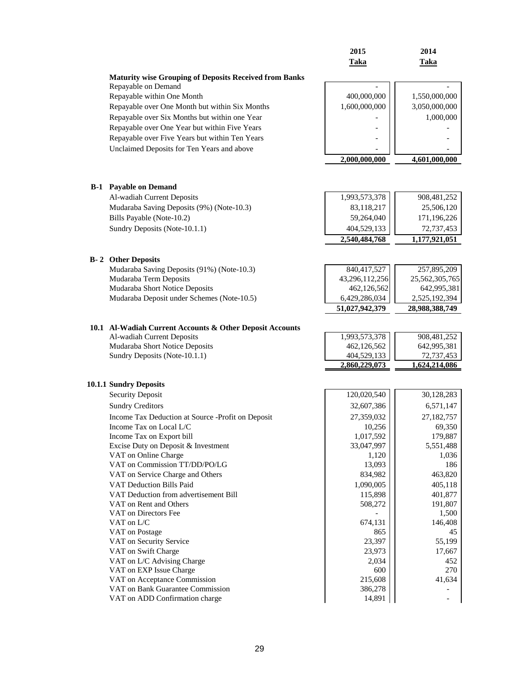|                                                                 | 2015                       | 2014                      |
|-----------------------------------------------------------------|----------------------------|---------------------------|
|                                                                 | <b>Taka</b>                | <b>Taka</b>               |
|                                                                 |                            |                           |
| <b>Maturity wise Grouping of Deposits Received from Banks</b>   |                            |                           |
| Repayable on Demand                                             |                            |                           |
| Repayable within One Month                                      | 400,000,000                | 1,550,000,000             |
| Repayable over One Month but within Six Months                  | 1,600,000,000              | 3,050,000,000             |
| Repayable over Six Months but within one Year                   |                            | 1,000,000                 |
| Repayable over One Year but within Five Years                   |                            |                           |
| Repayable over Five Years but within Ten Years                  |                            |                           |
| Unclaimed Deposits for Ten Years and above                      |                            |                           |
|                                                                 | 2,000,000,000              | 4,601,000,000             |
|                                                                 |                            |                           |
|                                                                 |                            |                           |
| <b>B-1</b> Payable on Demand                                    |                            |                           |
| Al-wadiah Current Deposits                                      | 1,993,573,378              | 908,481,252               |
| Mudaraba Saving Deposits (9%) (Note-10.3)                       | 83,118,217                 | 25,506,120                |
| Bills Payable (Note-10.2)                                       | 59,264,040                 | 171,196,226               |
| Sundry Deposits (Note-10.1.1)                                   | 404,529,133                | 72,737,453                |
|                                                                 | 2,540,484,768              | 1,177,921,051             |
|                                                                 |                            |                           |
| <b>B-2</b> Other Deposits                                       |                            |                           |
| Mudaraba Saving Deposits (91%) (Note-10.3)                      | 840,417,527                | 257,895,209               |
| Mudaraba Term Deposits                                          | 43,296,112,256             | 25,562,305,765            |
| Mudaraba Short Notice Deposits                                  | 462,126,562                | 642,995,381               |
| Mudaraba Deposit under Schemes (Note-10.5)                      | 6,429,286,034              | 2,525,192,394             |
|                                                                 | 51,027,942,379             | 28,988,388,749            |
|                                                                 |                            |                           |
| 10.1 Al-Wadiah Current Accounts & Other Deposit Accounts        |                            |                           |
| Al-wadiah Current Deposits                                      | 1,993,573,378              | 908,481,252               |
| Mudaraba Short Notice Deposits<br>Sundry Deposits (Note-10.1.1) | 462,126,562<br>404,529,133 | 642,995,381<br>72,737,453 |
|                                                                 | 2,860,229,073              | 1,624,214,086             |
|                                                                 |                            |                           |
| <b>10.1.1 Sundry Deposits</b>                                   |                            |                           |
| <b>Security Deposit</b>                                         | 120,020,540                | 30,128,283                |
| <b>Sundry Creditors</b>                                         | 32,607,386                 | 6,571,147                 |
|                                                                 |                            |                           |
| Income Tax Deduction at Source -Profit on Deposit               | 27,359,032                 | 27,182,757                |
| Income Tax on Local L/C<br>Income Tax on Export bill            | 10,256<br>1,017,592        | 69,350<br>179,887         |
| Excise Duty on Deposit & Investment                             | 33,047,997                 | 5,551,488                 |
| VAT on Online Charge                                            | 1,120                      | 1,036                     |
| VAT on Commission TT/DD/PO/LG                                   | 13,093                     | 186                       |
| VAT on Service Charge and Others                                | 834,982                    | 463,820                   |
| VAT Deduction Bills Paid                                        | 1,090,005                  | 405,118                   |
| VAT Deduction from advertisement Bill                           | 115,898                    | 401,877                   |
| VAT on Rent and Others                                          | 508,272                    | 191,807                   |
| VAT on Directors Fee                                            |                            | 1,500                     |
| VAT on L/C                                                      | 674,131                    | 146,408                   |
| VAT on Postage                                                  | 865                        | 45                        |
| VAT on Security Service                                         | 23,397                     | 55,199                    |
| VAT on Swift Charge                                             | 23,973                     | 17,667                    |
| VAT on L/C Advising Charge                                      | 2,034                      | 452                       |
| VAT on EXP Issue Charge                                         | 600                        | 270                       |
| VAT on Acceptance Commission                                    | 215,608                    | 41,634                    |
| VAT on Bank Guarantee Commission                                | 386,278                    |                           |
| VAT on ADD Confirmation charge                                  | 14,891                     |                           |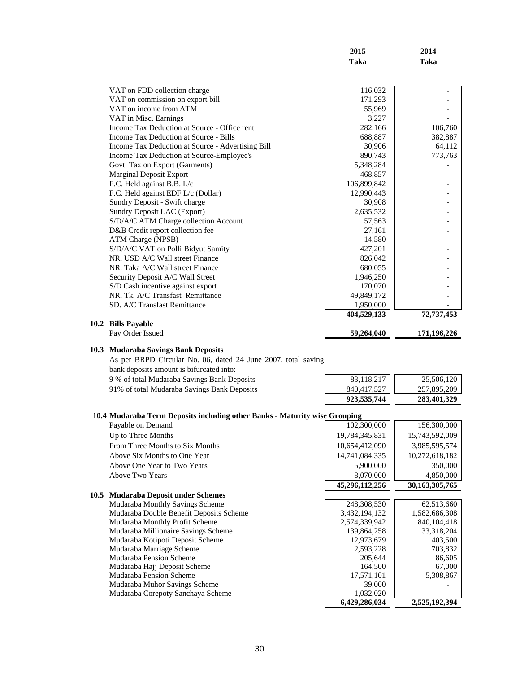|                                                   | 2015        | 2014        |
|---------------------------------------------------|-------------|-------------|
|                                                   | <b>Taka</b> | <b>Taka</b> |
|                                                   |             |             |
| VAT on FDD collection charge                      | 116,032     |             |
| VAT on commission on export bill                  | 171,293     |             |
| VAT on income from ATM                            | 55,969      |             |
| VAT in Misc. Earnings                             | 3,227       |             |
| Income Tax Deduction at Source - Office rent      | 282,166     | 106,760     |
| Income Tax Deduction at Source - Bills            | 688,887     | 382,887     |
| Income Tax Deduction at Source - Advertising Bill | 30,906      | 64,112      |
| Income Tax Deduction at Source-Employee's         | 890,743     | 773,763     |
| Govt. Tax on Export (Garments)                    | 5,348,284   |             |
| <b>Marginal Deposit Export</b>                    | 468,857     |             |
| F.C. Held against B.B. L/c                        | 106,899,842 |             |
| F.C. Held against EDF L/c (Dollar)                | 12,990,443  |             |
| Sundry Deposit - Swift charge                     | 30,908      |             |
| Sundry Deposit LAC (Export)                       | 2,635,532   |             |
| S/D/A/C ATM Charge collection Account             | 57,563      |             |
| D&B Credit report collection fee                  | 27,161      |             |
| ATM Charge (NPSB)                                 | 14,580      |             |
| S/D/A/C VAT on Polli Bidyut Samity                | 427,201     |             |
| NR. USD A/C Wall street Finance                   | 826,042     |             |
| NR. Taka A/C Wall street Finance                  | 680,055     |             |
| Security Deposit A/C Wall Street                  | 1,946,250   |             |
| S/D Cash incentive against export                 | 170,070     |             |
| NR. Tk. A/C Transfast Remittance                  | 49,849,172  |             |
| SD. A/C Transfast Remittance                      | 1,950,000   |             |
|                                                   | 404,529,133 | 72,737,453  |
| 10.2 Bills Payable                                |             |             |
| Pay Order Issued                                  | 59,264,040  | 171,196,226 |

## **10.3 Mudaraba Savings Bank Deposits**

9 % of total Mudaraba Savings Bank Deposits 91% of total Mudaraba Savings Bank Deposits As per BRPD Circular No. 06, dated 24 June 2007, total saving bank deposits amount is bifurcated into:

| 83,118,217  | 25,506,120  |
|-------------|-------------|
| 840,417,527 | 257,895,209 |
| 923,535,744 | 283,401,329 |

#### **10.4 Mudaraba Term Deposits including other Banks - Maturity wise Grouping**

| Payable on Demand                       | 102,300,000    | 156,300,000       |
|-----------------------------------------|----------------|-------------------|
| Up to Three Months                      | 19,784,345,831 | 15,743,592,009    |
| From Three Months to Six Months         | 10,654,412,090 | 3,985,595,574     |
| Above Six Months to One Year            | 14,741,084,335 | 10,272,618,182    |
| Above One Year to Two Years             | 5,900,000      | 350,000           |
| Above Two Years                         | 8,070,000      | 4,850,000         |
|                                         |                |                   |
|                                         | 45,296,112,256 | 30, 163, 305, 765 |
| 10.5 Mudaraba Deposit under Schemes     |                |                   |
| Mudaraba Monthly Savings Scheme         | 248,308,530    | 62,513,660        |
| Mudaraba Double Benefit Deposits Scheme | 3,432,194,132  | 1,582,686,308     |
| Mudaraba Monthly Profit Scheme          | 2,574,339,942  | 840, 104, 418     |
| Mudaraba Millionaire Savings Scheme     | 139,864,258    | 33,318,204        |
| Mudaraba Kotipoti Deposit Scheme        | 12,973,679     | 403,500           |

Mudaraba Muhor Savings Scheme 39,000 - 39,000 - 39,000 - 39,000 - 39,000 - 39,000 - 39,000 - 39,000 - 39,000 - 39,000 - 39,000 - 39,000 - 39,000 - 39,000 - 39,000 - 39,000 - 39,000 - 39,000 - 39,000 - 39,000 - 39,000 - 39, Mudaraba Corepoty Sanchaya Scheme 1,032,020 | 1,032,020 | 2,525,192,394

Mudaraba Marriage Scheme 2,593,228 703,832<br>Mudaraba Pension Scheme 2005,644 703,832 Mudaraba Pension Scheme 205,644 86,605<br>
Mudaraba Hajj Deposit Scheme 67,000 Mudaraba Hajj Deposit Scheme 164,500 164,500 67,000 67,000 67,000 67,000 67,000 67,000 67,000 67,000 67,000 67,000 67,000 67,000 67,000 67,000 67,000 67,000 67,000 67,000 67,000 67,000 67,000 67,000 67,000 67,000 67,000 67 Mudaraba Pension Scheme 17,571,101<br>
Mudaraba Muhor Savings Scheme 39,000

 **6,429,286,034 2,525,192,394**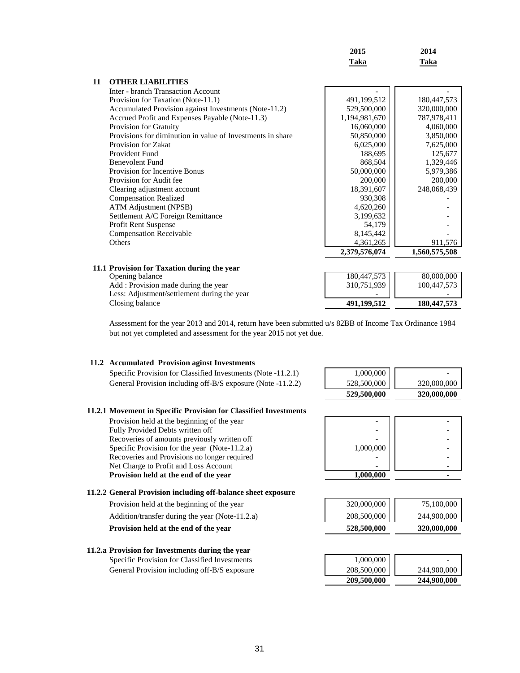|    |                                                            | 2015          | 2014          |
|----|------------------------------------------------------------|---------------|---------------|
|    |                                                            | Taka          | Taka          |
| 11 | <b>OTHER LIABILITIES</b>                                   |               |               |
|    | <b>Inter - branch Transaction Account</b>                  |               |               |
|    | Provision for Taxation (Note-11.1)                         | 491,199,512   | 180,447,573   |
|    | Accumulated Provision against Investments (Note-11.2)      | 529,500,000   | 320,000,000   |
|    | Accrued Profit and Expenses Payable (Note-11.3)            | 1,194,981,670 | 787,978,411   |
|    | <b>Provision for Gratuity</b>                              | 16,060,000    | 4,060,000     |
|    | Provisions for diminution in value of Investments in share | 50,850,000    | 3,850,000     |
|    | Provision for Zakat                                        | 6,025,000     | 7,625,000     |
|    | Provident Fund                                             | 188,695       | 125,677       |
|    | <b>Benevolent Fund</b>                                     | 868,504       | 1,329,446     |
|    | Provision for Incentive Bonus                              | 50,000,000    | 5,979,386     |
|    | Provision for Audit fee                                    | 200,000       | 200,000       |
|    | Clearing adjustment account                                | 18,391,607    | 248,068,439   |
|    | <b>Compensation Realized</b>                               | 930,308       |               |
|    | ATM Adjustment (NPSB)                                      | 4,620,260     |               |
|    | Settlement A/C Foreign Remittance                          | 3,199,632     |               |
|    | Profit Rent Suspense                                       | 54,179        |               |
|    | <b>Compensation Receivable</b>                             | 8,145,442     |               |
|    | Others                                                     | 4,361,265     | 911,576       |
|    |                                                            | 2,379,576,074 | 1,560,575,508 |
|    |                                                            |               |               |
|    | 11.1 Provision for Taxation during the year                |               |               |
|    | Opening balance                                            | 180,447,573   | 80,000,000    |
|    | Add: Provision made during the year                        | 310,751,939   | 100,447,573   |
|    | Less: Adjustment/settlement during the year                |               |               |
|    | Closing balance                                            | 491,199,512   | 180,447,573   |

Assessment for the year 2013 and 2014, return have been submitted u/s 82BB of Income Tax Ordinance 1984 but not yet completed and assessment for the year 2015 not yet due.

#### **11.2 Accumulated Provision aginst Investments**

Specific Provision for Classified Investments (Note -11.2.1) General Provision including off-B/S exposure (Note -11.2.2)

#### **11.2.1 Movement in Specific Provision for Classified Investments**

Provision held at the beginning of the year Fully Provided Debts written off Recoveries of amounts previously written off Specific Provision for the year (Note-11.2.a) Recoveries and Provisions no longer required Net Charge to Profit and Loss Account Provision held at the end of the year

| 1,000,000   |             |
|-------------|-------------|
| 528,500,000 | 320,000,000 |
| 529,500,000 | 320,000,000 |

| 1,000,000 |  |
|-----------|--|
|           |  |
|           |  |
| 1.000.000 |  |

#### **11.2.2 General Provision including off-balance sheet exposure**

- Provision held at the beginning of the year 320,000,000 75,100,000 Addition/transfer during the year (Note-11.2.a) 208,500,000 244,900,000 **Provision held at the end of the year 528,500,000 320,000,000** 320,000,000
- **11.2.a Provision for Investments during the year** Specific Provision for Classified Investments General Provision including off-B/S exposure

| $1,000,000$<br>208,500,000 |             |
|----------------------------|-------------|
|                            | 244,900,000 |
| 209,500,000                | 244,900,000 |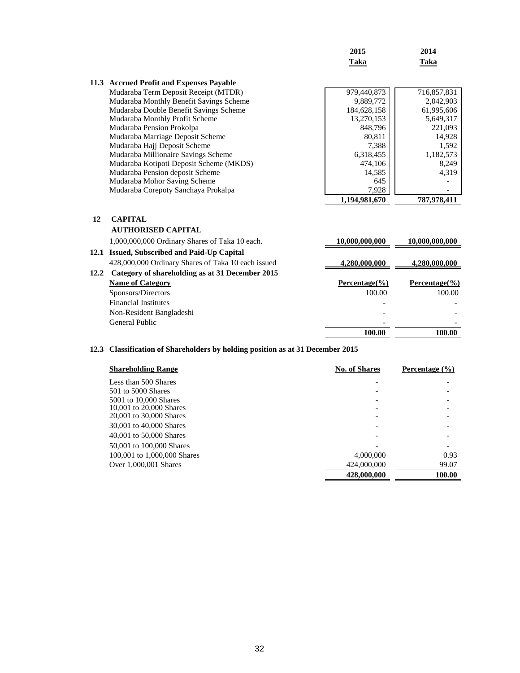|      |                                                    | 2015               | 2014               |
|------|----------------------------------------------------|--------------------|--------------------|
|      |                                                    | <b>Taka</b>        | <b>Taka</b>        |
| 11.3 | <b>Accrued Profit and Expenses Payable</b>         |                    |                    |
|      | Mudaraba Term Deposit Receipt (MTDR)               | 979,440,873        | 716,857,831        |
|      | Mudaraba Monthly Benefit Savings Scheme            | 9,889,772          | 2,042,903          |
|      | Mudaraba Double Benefit Savings Scheme             | 184,628,158        | 61,995,606         |
|      | Mudaraba Monthly Profit Scheme                     | 13,270,153         | 5,649,317          |
|      | Mudaraba Pension Prokolpa                          | 848,796            | 221,093            |
|      | Mudaraba Marriage Deposit Scheme                   | 80,811             | 14,928             |
|      | Mudaraba Hajj Deposit Scheme                       | 7,388              | 1,592              |
|      | Mudaraba Millionaire Savings Scheme                | 6,318,455          | 1,182,573          |
|      | Mudaraba Kotipoti Deposit Scheme (MKDS)            | 474,106            | 8,249              |
|      | Mudaraba Pension deposit Scheme                    | 14,585             | 4,319              |
|      | Mudaraba Mohor Saving Scheme                       | 645                |                    |
|      | Mudaraba Corepoty Sanchaya Prokalpa                | 7,928              |                    |
|      |                                                    | 1,194,981,670      | 787,978,411        |
| 12   | <b>CAPITAL</b>                                     |                    |                    |
|      | <b>AUTHORISED CAPITAL</b>                          |                    |                    |
|      | 1,000,000,000 Ordinary Shares of Taka 10 each.     | 10,000,000,000     | 10,000,000,000     |
| 12.1 | <b>Issued, Subscribed and Paid-Up Capital</b>      |                    |                    |
|      | 428,000,000 Ordinary Shares of Taka 10 each issued | 4,280,000,000      | 4,280,000,000      |
| 12.2 | Category of shareholding as at 31 December 2015    |                    |                    |
|      | <b>Name of Category</b>                            | Percentage $(\% )$ | Percentage $(\% )$ |
|      | Sponsors/Directors                                 | 100.00             | 100.00             |

|                             | General Public           | $\overline{\phantom{0}}$ |        |
|-----------------------------|--------------------------|--------------------------|--------|
|                             | Non-Resident Bangladeshi |                          |        |
|                             |                          | ۰                        |        |
| <b>Financial Institutes</b> | Sponsors/Directors       | 100.00                   | TUU.UU |

# **12.3 Classification of Shareholders by holding position as at 31 December 2015**

| <b>Shareholding Range</b>   | <b>No. of Shares</b> | Percentage $(\% )$ |
|-----------------------------|----------------------|--------------------|
| Less than 500 Shares        |                      |                    |
| 501 to 5000 Shares          |                      |                    |
| 5001 to 10,000 Shares       |                      |                    |
| 10,001 to 20,000 Shares     |                      |                    |
| 20,001 to 30,000 Shares     |                      |                    |
| 30,001 to 40,000 Shares     |                      |                    |
| 40,001 to 50,000 Shares     |                      |                    |
| 50,001 to 100,000 Shares    |                      |                    |
| 100,001 to 1,000,000 Shares | 4,000,000            | 0.93               |
| Over 1,000,001 Shares       | 424,000,000          | 99.07              |
|                             | 428,000,000          | 100.00             |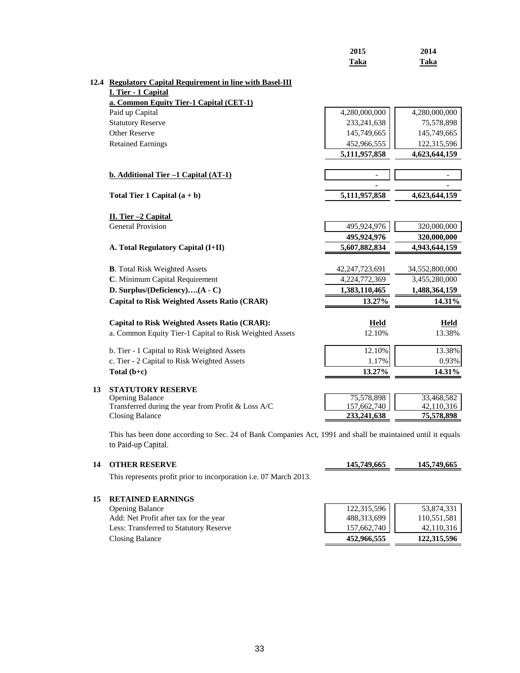|    |                                                                                                                                    | 2015<br><b>Taka</b>        | 2014<br>Taka             |
|----|------------------------------------------------------------------------------------------------------------------------------------|----------------------------|--------------------------|
|    |                                                                                                                                    |                            |                          |
|    | 12.4 Regulatory Capital Requirement in line with Basel-III                                                                         |                            |                          |
|    | I. Tier - 1 Capital                                                                                                                |                            |                          |
|    | a. Common Equity Tier-1 Capital (CET-1)                                                                                            |                            |                          |
|    | Paid up Capital                                                                                                                    | 4,280,000,000              | 4,280,000,000            |
|    | <b>Statutory Reserve</b>                                                                                                           | 233, 241, 638              | 75,578,898               |
|    | <b>Other Reserve</b>                                                                                                               | 145,749,665                | 145,749,665              |
|    | <b>Retained Earnings</b>                                                                                                           | 452,966,555                | 122,315,596              |
|    |                                                                                                                                    | 5,111,957,858              | 4,623,644,159            |
|    |                                                                                                                                    |                            |                          |
|    | b. Additional Tier -1 Capital (AT-1)                                                                                               |                            |                          |
|    | Total Tier 1 Capital $(a + b)$                                                                                                     | 5,111,957,858              | 4,623,644,159            |
|    |                                                                                                                                    |                            |                          |
|    | II. Tier -2 Capital                                                                                                                |                            |                          |
|    | <b>General Provision</b>                                                                                                           | 495,924,976                | 320,000,000              |
|    |                                                                                                                                    | 495,924,976                | 320,000,000              |
|    | A. Total Regulatory Capital (I+II)                                                                                                 | 5,607,882,834              | 4,943,644,159            |
|    | <b>B.</b> Total Risk Weighted Assets                                                                                               | 42,247,723,691             | 34,552,800,000           |
|    | C. Minimum Capital Requirement                                                                                                     | 4,224,772,369              | 3,455,280,000            |
|    | D. Surplus/(Deficiency)(A - C)                                                                                                     | 1,383,110,465              | 1,488,364,159            |
|    | <b>Capital to Risk Weighted Assets Ratio (CRAR)</b>                                                                                | 13.27%                     | 14.31%                   |
|    | <b>Capital to Risk Weighted Assets Ratio (CRAR):</b>                                                                               | Held                       | Held                     |
|    | a. Common Equity Tier-1 Capital to Risk Weighted Assets                                                                            | 12.10%                     | 13.38%                   |
|    | b. Tier - 1 Capital to Risk Weighted Assets                                                                                        | 12.10%                     | 13.38%                   |
|    | c. Tier - 2 Capital to Risk Weighted Assets                                                                                        | 1.17%                      | 0.93%                    |
|    | Total $(b+c)$                                                                                                                      | 13.27%                     | 14.31%                   |
| 13 | <b>STATUTORY RESERVE</b>                                                                                                           |                            |                          |
|    | <b>Opening Balance</b>                                                                                                             | 75,578,898                 | 33,468,582               |
|    | Transferred during the year from Profit & Loss A/C<br><b>Closing Balance</b>                                                       | 157,662,740<br>233,241,638 | 42,110,316<br>75,578,898 |
|    |                                                                                                                                    |                            |                          |
|    | This has been done according to Sec. 24 of Bank Companies Act, 1991 and shall be maintained until it equals<br>to Paid-up Capital. |                            |                          |

14 **OTHER RESERVE** 145,749,665 145,749,665 This represents profit prior to incorporation i.e. 07 March 2013. **15 RETAINED EARNINGS** Opening Balance 122,315,596 53,874,331<br>Add: Net Profit after tax for the year 488,313,699 110,551,581 Add: Net Profit after tax for the year 488,313,699 110,551,581<br>Less: Transferred to Statutory Reserve 157,662,740 12,110,316 Less: Transferred to Statutory Reserve Closing Balance **452,966,555** 122,315,596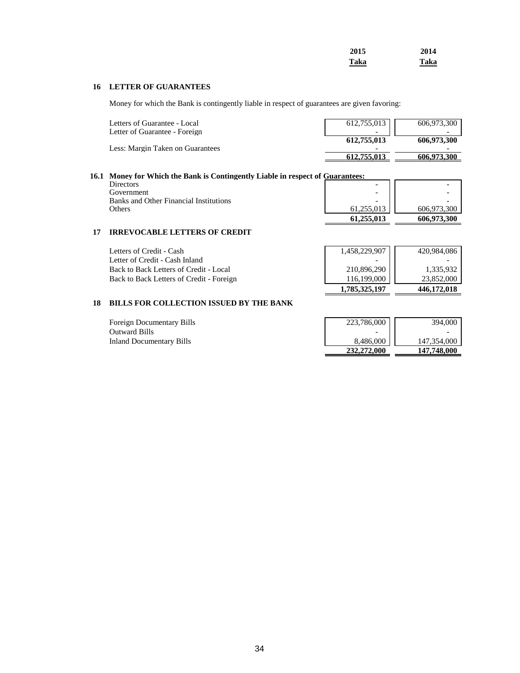| 2015 | 2014 |
|------|------|
| Taka | Taka |

#### **16 LETTER OF GUARANTEES**

Money for which the Bank is contingently liable in respect of guarantees are given favoring:

| Letters of Guarantee - Local     | $612,755,013$ | 606,973,300 |
|----------------------------------|---------------|-------------|
| Letter of Guarantee - Foreign    |               |             |
|                                  | 612,755,013   | 606,973,300 |
| Less: Margin Taken on Guarantees |               |             |
|                                  | 612.755.013   | 606.973.300 |

#### **16.1 Money for Which the Bank is Contingently Liable in respect of Guarantees:**

| Others                                 | 61.255.013<br>61,255,013 | 606.973.300<br>606.973.300 |
|----------------------------------------|--------------------------|----------------------------|
| Banks and Other Financial Institutions | $\overline{\phantom{a}}$ |                            |
| Government                             | $\overline{\phantom{a}}$ |                            |
| Directors                              | $\overline{\phantom{0}}$ | $\overline{\phantom{0}}$   |

#### **17 IRREVOCABLE LETTERS OF CREDIT**

| Letters of Credit - Cash                 | 1,458,229,907 | 420.984.086 |
|------------------------------------------|---------------|-------------|
| Letter of Credit - Cash Inland           |               |             |
| Back to Back Letters of Credit - Local   | 210,896,290   | 1.335.932   |
| Back to Back Letters of Credit - Foreign | 116.199.000   | 23.852.000  |
|                                          | 1,785,325,197 | 446,172,018 |

#### **18 BILLS FOR COLLECTION ISSUED BY THE BANK**

| <b>Foreign Documentary Bills</b> | 223,786,000 | 394,000     |
|----------------------------------|-------------|-------------|
| Outward Bills                    |             |             |
| Inland Documentary Bills         | 8.486.000   | 147,354,000 |
|                                  | 232,272,000 | 147,748,000 |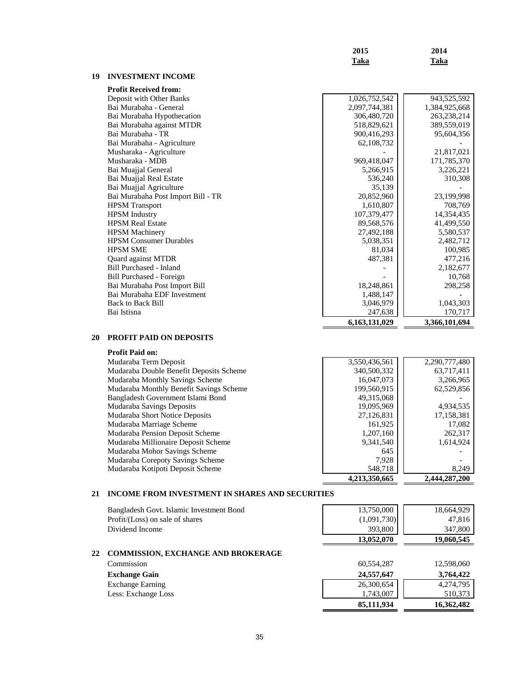|    |                                    | 2015          | 2014          |
|----|------------------------------------|---------------|---------------|
|    |                                    | <b>Taka</b>   | <b>Taka</b>   |
| 19 | <b>INVESTMENT INCOME</b>           |               |               |
|    | <b>Profit Received from:</b>       |               |               |
|    | Deposit with Other Banks           | 1,026,752,542 | 943,525,592   |
|    | Bai Murabaha - General             | 2,097,744,381 | 1,384,925,668 |
|    | Bai Murabaha Hypothecation         | 306,480,720   | 263,238,214   |
|    | Bai Murabaha against MTDR          | 518,829,621   | 389,559,019   |
|    | Bai Murabaha - TR                  | 900,416,293   | 95,604,356    |
|    | Bai Murabaha - Agriculture         | 62,108,732    |               |
|    | Musharaka - Agriculture            |               | 21,817,021    |
|    | Musharaka - MDB                    | 969,418,047   | 171,785,370   |
|    | Bai Muajial General                | 5,266,915     | 3,226,221     |
|    | Bai Muajjal Real Estate            | 536,240       | 310,308       |
|    | Bai Muajial Agriculture            | 35,139        |               |
|    | Bai Murabaha Post Import Bill - TR | 20,852,960    | 23,199,998    |
|    | <b>HPSM</b> Transport              | 1,610,807     | 708,769       |
|    | <b>HPSM</b> Industry               | 107,379,477   | 14,354,435    |
|    | <b>HPSM Real Estate</b>            | 89,568,576    | 41,499,550    |
|    | <b>HPSM</b> Machinery              | 27,492,188    | 5,580,537     |
|    | <b>HPSM Consumer Durables</b>      | 5,038,351     | 2,482,712     |
|    | <b>HPSM SME</b>                    | 81,034        | 100,985       |
|    | Quard against MTDR                 | 487,381       | 477,216       |
|    | <b>Bill Purchased - Inland</b>     |               | 2,182,677     |
|    | Bill Purchased - Foreign           |               | 10,768        |
|    | Bai Murabaha Post Import Bill      | 18,248,861    | 298,258       |
|    | Bai Murabaha EDF Investment        | 1,488,147     |               |
|    | <b>Back to Back Bill</b>           | 3,046,979     | 1,043,303     |
|    | Bai Istisna                        | 247,638       | 170,717       |
|    |                                    | 6,163,131,029 | 3,366,101,694 |

# **20 PROFIT PAID ON DEPOSITS**

| <b>Profit Paid on:</b> |  |  |
|------------------------|--|--|
|------------------------|--|--|

| Mudaraba Term Deposit                   | 3,550,436,561 | 2,290,777,480 |
|-----------------------------------------|---------------|---------------|
| Mudaraba Double Benefit Deposits Scheme | 340,500,332   | 63,717,411    |
| Mudaraba Monthly Savings Scheme         | 16,047,073    | 3,266,965     |
| Mudaraba Monthly Benefit Savings Scheme | 199,560,915   | 62,529,856    |
| Bangladesh Government Islami Bond       | 49,315,068    |               |
| Mudaraba Savings Deposits               | 19,095,969    | 4,934,535     |
| Mudaraba Short Notice Deposits          | 27,126,831    | 17,158,381    |
| Mudaraba Marriage Scheme                | 161,925       | 17,082        |
| Mudaraba Pension Deposit Scheme         | 1,207,160     | 262,317       |
| Mudaraba Millionaire Deposit Scheme     | 9.341.540     | 1.614.924     |
| Mudaraba Mohor Savings Scheme           | 645           |               |
| Mudaraba Corepoty Savings Scheme        | 7.928         |               |
| Mudaraba Kotipoti Deposit Scheme        | 548.718       | 8,249         |
|                                         | 4.213.350.665 | 2.444.287.200 |

# **21 INCOME FROM INVESTMENT IN SHARES AND SECURITIES**

| Bangladesh Govt. Islamic Investment Bond        | 13,750,000  | 18,664,929 |
|-------------------------------------------------|-------------|------------|
| Profit/(Loss) on sale of shares                 | (1,091,730) | 47,816     |
| Dividend Income                                 | 393,800     | 347,800    |
|                                                 | 13,052,070  | 19,060,545 |
| <b>COMMISSION, EXCHANGE AND BROKERAGE</b><br>22 |             |            |
| Commission                                      | 60,554,287  | 12,598,060 |
| <b>Exchange Gain</b>                            | 24,557,647  | 3,764,422  |
| <b>Exchange Earning</b>                         | 26,300,654  | 4,274,795  |
| Less: Exchange Loss                             | 1,743,007   | 510,373    |
|                                                 | 85,111,934  | 16,362,482 |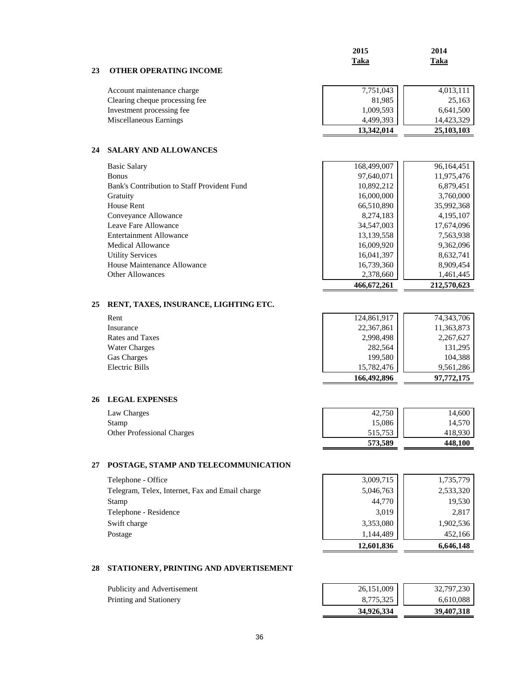|    |                                                 | 2015        | 2014        |
|----|-------------------------------------------------|-------------|-------------|
|    |                                                 | <b>Taka</b> | Taka        |
| 23 | <b>OTHER OPERATING INCOME</b>                   |             |             |
|    | Account maintenance charge                      | 7,751,043   | 4,013,111   |
|    | Clearing cheque processing fee                  | 81,985      | 25,163      |
|    | Investment processing fee                       | 1,009,593   | 6,641,500   |
|    | Miscellaneous Earnings                          | 4,499,393   | 14,423,329  |
|    |                                                 | 13,342,014  | 25,103,103  |
|    |                                                 |             |             |
| 24 | <b>SALARY AND ALLOWANCES</b>                    |             |             |
|    | <b>Basic Salary</b>                             | 168,499,007 | 96,164,451  |
|    | <b>Bonus</b>                                    | 97,640,071  | 11,975,476  |
|    | Bank's Contribution to Staff Provident Fund     | 10,892,212  | 6,879,451   |
|    | Gratuity                                        | 16,000,000  | 3,760,000   |
|    | House Rent                                      | 66,510,890  | 35,992,368  |
|    | Conveyance Allowance                            | 8,274,183   | 4,195,107   |
|    | Leave Fare Allowance                            | 34,547,003  | 17,674,096  |
|    | <b>Entertainment Allowance</b>                  | 13,139,558  | 7,563,938   |
|    | <b>Medical Allowance</b>                        | 16,009,920  | 9,362,096   |
|    | <b>Utility Services</b>                         | 16,041,397  | 8,632,741   |
|    | House Maintenance Allowance                     | 16,739,360  | 8,909,454   |
|    | <b>Other Allowances</b>                         | 2,378,660   | 1,461,445   |
|    |                                                 | 466,672,261 | 212,570,623 |
| 25 | RENT, TAXES, INSURANCE, LIGHTING ETC.           |             |             |
|    | Rent                                            | 124,861,917 | 74,343,706  |
|    | Insurance                                       | 22,367,861  | 11,363,873  |
|    | Rates and Taxes                                 | 2,998,498   | 2,267,627   |
|    | <b>Water Charges</b>                            | 282,564     | 131,295     |
|    | Gas Charges                                     | 199,580     | 104,388     |
|    | <b>Electric Bills</b>                           | 15,782,476  | 9,561,286   |
|    |                                                 | 166,492,896 | 97,772,175  |
|    |                                                 |             |             |
| 26 | <b>LEGAL EXPENSES</b>                           |             |             |
|    | Law Charges                                     | 42,750      | 14,600      |
|    | Stamp                                           | 15,086      | 14,570      |
|    | Other Professional Charges                      | 515,753     | 418,930     |
|    |                                                 | 573,589     | 448,100     |
| 27 | POSTAGE, STAMP AND TELECOMMUNICATION            |             |             |
|    |                                                 |             |             |
|    | Telephone - Office                              | 3,009,715   | 1,735,779   |
|    | Telegram, Telex, Internet, Fax and Email charge | 5,046,763   | 2,533,320   |
|    | Stamp                                           | 44,770      | 19,530      |
|    | Telephone - Residence                           | 3,019       | 2,817       |
|    | Swift charge                                    | 3,353,080   | 1,902,536   |
|    | Postage                                         | 1,144,489   | 452,166     |
|    |                                                 | 12,601,836  | 6,646,148   |
|    |                                                 |             |             |
| 28 | STATIONERY, PRINTING AND ADVERTISEMENT          |             |             |
|    |                                                 |             |             |

|                             | 34,926,334 | 39,407,318 |
|-----------------------------|------------|------------|
| Printing and Stationery     | 8.775.325  | 6.610.088  |
| Publicity and Advertisement | 26,151,009 | 32,797,230 |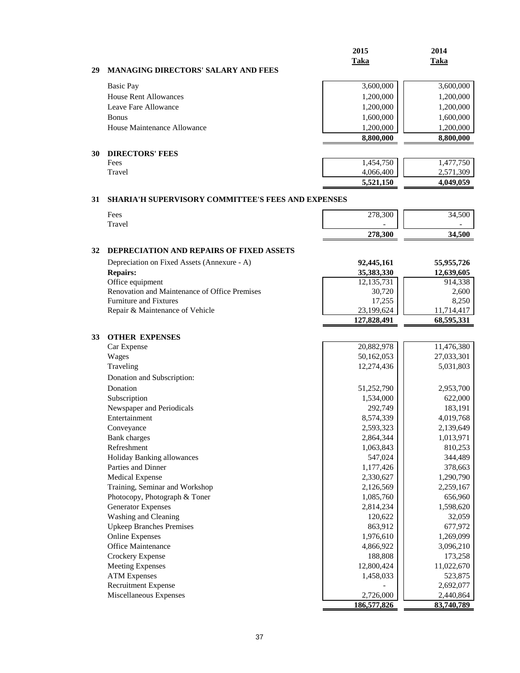|                                                  | 2015<br>Taka | 2014<br>Taka |
|--------------------------------------------------|--------------|--------------|
| <b>MANAGING DIRECTORS' SALARY AND FEES</b><br>29 |              |              |
| <b>Basic Pay</b>                                 | 3,600,000    | 3,600,000    |
| <b>House Rent Allowances</b>                     | 1,200,000    | 1,200,000    |
| Leave Fare Allowance                             | 1,200,000    | 1,200,000    |
| <b>Bonus</b>                                     | 1,600,000    | 1,600,000    |
| House Maintenance Allowance                      | 1,200,000    | 1,200,000    |
|                                                  | 8,800,000    | 8,800,000    |
| <b>DIRECTORS' FEES</b><br>30                     |              |              |
| Fees                                             | 1,454,750    | 1,477,750    |
| Travel                                           | 4,066,400    | 2,571,309    |
|                                                  | 5,521,150    | 4,049,059    |

# **31 SHARIA'H SUPERVISORY COMMITTEE'S FEES AND EXPENSES**

| Fees   | 278,300                  | 34,500 |
|--------|--------------------------|--------|
| Travel | $\overline{\phantom{a}}$ |        |
|        | 278,300                  | 34.500 |

# **32 DEPRECIATION AND REPAIRS OF FIXED ASSETS**

| Depreciation on Fixed Assets (Annexure - A)   | 92,445,161   | 55,955,726 |
|-----------------------------------------------|--------------|------------|
| <b>Repairs:</b>                               | 35,383,330   | 12,639,605 |
| Office equipment                              | 12, 135, 731 | 914,338    |
| Renovation and Maintenance of Office Premises | 30,720       | 2,600      |
| <b>Furniture and Fixtures</b>                 | 17.255       | 8.250      |
| Repair & Maintenance of Vehicle               | 23,199,624   | 11,714,417 |
|                                               | 127,828,491  | 68,595,331 |

| <b>OTHER EXPENSES</b><br>33     |             |            |
|---------------------------------|-------------|------------|
| Car Expense                     | 20,882,978  | 11,476,380 |
| Wages                           | 50,162,053  | 27,033,301 |
| Traveling                       | 12,274,436  | 5,031,803  |
| Donation and Subscription:      |             |            |
| Donation                        | 51,252,790  | 2,953,700  |
| Subscription                    | 1,534,000   | 622,000    |
| Newspaper and Periodicals       | 292,749     | 183,191    |
| Entertainment                   | 8,574,339   | 4,019,768  |
| Conveyance                      | 2,593,323   | 2,139,649  |
| <b>Bank</b> charges             | 2,864,344   | 1,013,971  |
| Refreshment                     | 1,063,843   | 810,253    |
| Holiday Banking allowances      | 547,024     | 344,489    |
| Parties and Dinner              | 1,177,426   | 378,663    |
| <b>Medical Expense</b>          | 2,330,627   | 1,290,790  |
| Training, Seminar and Workshop  | 2,126,569   | 2,259,167  |
| Photocopy, Photograph & Toner   | 1,085,760   | 656,960    |
| <b>Generator Expenses</b>       | 2,814,234   | 1,598,620  |
| Washing and Cleaning            | 120,622     | 32,059     |
| <b>Upkeep Branches Premises</b> | 863,912     | 677,972    |
| <b>Online Expenses</b>          | 1,976,610   | 1,269,099  |
| <b>Office Maintenance</b>       | 4,866,922   | 3,096,210  |
| Crockery Expense                | 188,808     | 173,258    |
| <b>Meeting Expenses</b>         | 12,800,424  | 11,022,670 |
| <b>ATM Expenses</b>             | 1,458,033   | 523,875    |
| <b>Recruitment Expense</b>      |             | 2,692,077  |
| Miscellaneous Expenses          | 2,726,000   | 2,440,864  |
|                                 | 186,577,826 | 83,740,789 |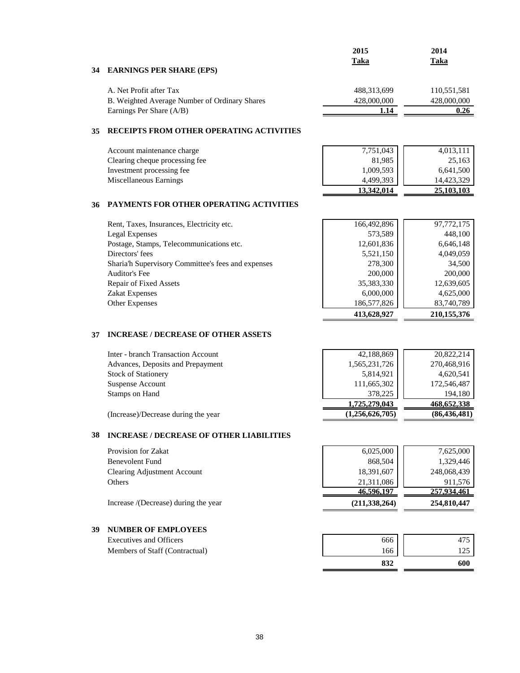|                                               | 2015        | 2014        |
|-----------------------------------------------|-------------|-------------|
|                                               | Taka        | Taka        |
| 34 EARNINGS PER SHARE (EPS)                   |             |             |
| A. Net Profit after Tax                       | 488,313,699 | 110,551,581 |
| B. Weighted Average Number of Ordinary Shares | 428,000,000 | 428,000,000 |
| Earnings Per Share (A/B)                      | 1.14        | 0.26        |
|                                               |             |             |

#### **35 RECEIPTS FROM OTHER OPERATING ACTIVITIES**

| Account maintenance charge     | 7,751,043  | 4,013,111  |
|--------------------------------|------------|------------|
| Clearing cheque processing fee | 81.985     | 25,163     |
| Investment processing fee      | 1,009,593  | 6,641,500  |
| Miscellaneous Earnings         | 4,499,393  | 14.423.329 |
|                                | 13.342.014 | 25,103,103 |

#### **36 PAYMENTS FOR OTHER OPERATING ACTIVITIES**

| Rent, Taxes, Insurances, Electricity etc.          | 166,492,896 | 97,772,175  |
|----------------------------------------------------|-------------|-------------|
| Legal Expenses                                     | 573,589     | 448,100     |
| Postage, Stamps, Telecommunications etc.           | 12,601,836  | 6,646,148   |
| Directors' fees                                    | 5,521,150   | 4,049,059   |
| Sharia'h Supervisory Committee's fees and expenses | 278,300     | 34,500      |
| Auditor's Fee                                      | 200,000     | 200,000     |
| Repair of Fixed Assets                             | 35,383,330  | 12,639,605  |
| <b>Zakat Expenses</b>                              | 6,000,000   | 4,625,000   |
| <b>Other Expenses</b>                              | 186,577,826 | 83,740,789  |
|                                                    | 413,628,927 | 210,155,376 |

#### **37 INCREASE / DECREASE OF OTHER ASSETS**

| Inter - branch Transaction Account | 42,188,869    | 20,822,214  |
|------------------------------------|---------------|-------------|
| Advances, Deposits and Prepayment  | 1,565,231,726 | 270,468,916 |
| <b>Stock of Stationery</b>         | 5,814,921     | 4,620,541   |
| <b>Suspense Account</b>            | 111,665,302   | 172,546,487 |
| Stamps on Hand                     | 378,225       | 194,180     |
|                                    | 1,725,279,043 | 468,652,338 |

(Increase)/Decrease during the year **(1,256,626,705) (86,436,481)**

## **38 INCREASE / DECREASE OF OTHER LIABILITIES**

| Provision for Zakat                  | 6,025,000       | 7,625,000   |
|--------------------------------------|-----------------|-------------|
| <b>Benevolent Fund</b>               | 868,504         | 1.329.446   |
| Clearing Adjustment Account          | 18,391,607      | 248,068,439 |
| Others                               | 21,311,086      | 911.576     |
|                                      | 46,596,197      | 257,934,461 |
| Increase /(Decrease) during the year | (211, 338, 264) | 254,810,447 |

# **39 NUMBER OF EMPLOYEES**

Executives and Officers Members of Staff (Contractual)

| 666 |     |
|-----|-----|
| 166 | 125 |
| 832 | 600 |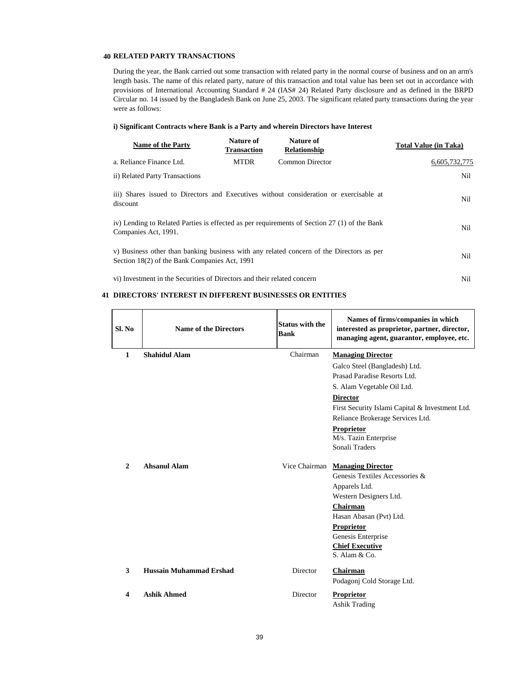#### **40 RELATED PARTY TRANSACTIONS**

During the year, the Bank carried out some transaction with related party in the normal course of business and on an arm's length basis. The name of this related party, nature of this transaction and total value has been set out in accordance with provisions of International Accounting Standard # 24 (IAS# 24) Related Party disclosure and as defined in the BRPD Circular no. 14 issued by the Bangladesh Bank on June 25, 2003. The significant related party transactions during the year were as follows:

#### **i) Significant Contracts where Bank is a Party and wherein Directors have Interest**

| <b>Name of the Party</b>                                                                                                                         | Nature of<br><b>Transaction</b> | Nature of<br>Relationship | <b>Total Value (in Taka)</b> |  |  |
|--------------------------------------------------------------------------------------------------------------------------------------------------|---------------------------------|---------------------------|------------------------------|--|--|
| a. Reliance Finance Ltd.                                                                                                                         | <b>MTDR</b>                     | <b>Common Director</b>    | 6.605.732.775                |  |  |
| ii) Related Party Transactions                                                                                                                   |                                 |                           | Nil                          |  |  |
| iii) Shares issued to Directors and Executives without consideration or exercisable at<br>Nil.<br>discount                                       |                                 |                           |                              |  |  |
| iv) Lending to Related Parties is effected as per requirements of Section 27 (1) of the Bank<br>Nil<br>Companies Act, 1991.                      |                                 |                           |                              |  |  |
| v) Business other than banking business with any related concern of the Directors as per<br>Nil<br>Section 18(2) of the Bank Companies Act, 1991 |                                 |                           |                              |  |  |
| vi) Investment in the Securities of Directors and their related concern                                                                          |                                 |                           | Nil                          |  |  |

## **41 DIRECTORS' INTEREST IN DIFFERENT BUSINESSES OR ENTITIES**

| Sl. No       | <b>Name of the Directors</b>   | <b>Status with the</b><br><b>Bank</b> | Names of firms/companies in which<br>interested as proprietor, partner, director,<br>managing agent, guarantor, employee, etc. |
|--------------|--------------------------------|---------------------------------------|--------------------------------------------------------------------------------------------------------------------------------|
| $\mathbf{1}$ | <b>Shahidul Alam</b>           | Chairman                              | <b>Managing Director</b>                                                                                                       |
|              |                                |                                       | Galco Steel (Bangladesh) Ltd.                                                                                                  |
|              |                                |                                       | Prasad Paradise Resorts Ltd.                                                                                                   |
|              |                                |                                       | S. Alam Vegetable Oil Ltd.                                                                                                     |
|              |                                |                                       | <b>Director</b>                                                                                                                |
|              |                                |                                       | First Security Islami Capital & Investment Ltd.                                                                                |
|              |                                |                                       | Reliance Brokerage Services Ltd.                                                                                               |
|              |                                |                                       | Proprietor                                                                                                                     |
|              |                                |                                       | M/s. Tazin Enterprise                                                                                                          |
|              |                                |                                       | Sonali Traders                                                                                                                 |
| $\mathbf{2}$ | <b>Ahsanul Alam</b>            |                                       | Vice Chairman Managing Director                                                                                                |
|              |                                |                                       | Genesis Textiles Accessories &                                                                                                 |
|              |                                |                                       | Apparels Ltd.                                                                                                                  |
|              |                                |                                       | Western Designers Ltd.                                                                                                         |
|              |                                |                                       | Chairman                                                                                                                       |
|              |                                |                                       | Hasan Abasan (Pvt) Ltd.                                                                                                        |
|              |                                |                                       | Proprietor                                                                                                                     |
|              |                                |                                       | Genesis Enterprise                                                                                                             |
|              |                                |                                       | <b>Chief Executive</b>                                                                                                         |
|              |                                |                                       | S. Alam & Co.                                                                                                                  |
| 3            | <b>Hussain Muhammad Ershad</b> | <b>Director</b>                       | Chairman                                                                                                                       |
|              |                                |                                       | Podagonj Cold Storage Ltd.                                                                                                     |
| 4            | <b>Ashik Ahmed</b>             | Director                              | <b>Proprietor</b>                                                                                                              |
|              |                                |                                       | <b>Ashik Trading</b>                                                                                                           |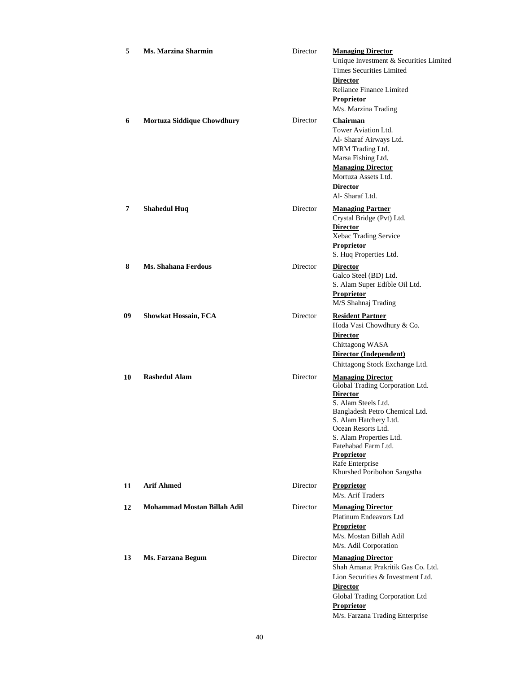| 5  | Ms. Marzina Sharmin         | Director | <b>Managing Director</b><br>Unique Investment & Securities Limited<br><b>Times Securities Limited</b><br><b>Director</b><br>Reliance Finance Limited<br>Proprietor<br>M/s. Marzina Trading                                                                                                                      |
|----|-----------------------------|----------|-----------------------------------------------------------------------------------------------------------------------------------------------------------------------------------------------------------------------------------------------------------------------------------------------------------------|
| 6  | Mortuza Siddique Chowdhury  | Director | Chairman<br>Tower Aviation Ltd.<br>Al- Sharaf Airways Ltd.<br>MRM Trading Ltd.<br>Marsa Fishing Ltd.<br><b>Managing Director</b><br>Mortuza Assets Ltd.<br><b>Director</b><br>Al-Sharaf Ltd.                                                                                                                    |
| 7  | <b>Shahedul Huq</b>         | Director | <b>Managing Partner</b><br>Crystal Bridge (Pvt) Ltd.<br><b>Director</b><br>Xebac Trading Service<br>Proprietor<br>S. Huq Properties Ltd.                                                                                                                                                                        |
| 8  | Ms. Shahana Ferdous         | Director | <b>Director</b><br>Galco Steel (BD) Ltd.<br>S. Alam Super Edible Oil Ltd.<br><b>Proprietor</b><br>M/S Shahnaj Trading                                                                                                                                                                                           |
| 09 | <b>Showkat Hossain, FCA</b> | Director | <b>Resident Partner</b><br>Hoda Vasi Chowdhury & Co.<br><b>Director</b><br>Chittagong WASA<br>Director (Independent)<br>Chittagong Stock Exchange Ltd.                                                                                                                                                          |
| 10 | <b>Rashedul Alam</b>        | Director | <b>Managing Director</b><br>Global Trading Corporation Ltd.<br><b>Director</b><br>S. Alam Steels Ltd.<br>Bangladesh Petro Chemical Ltd.<br>S. Alam Hatchery Ltd.<br>Ocean Resorts Ltd.<br>S. Alam Properties Ltd.<br>Fatehabad Farm Ltd.<br><b>Proprietor</b><br>Rafe Enterprise<br>Khurshed Poribohon Sangstha |
| 11 | <b>Arif Ahmed</b>           | Director | <b>Proprietor</b><br>M/s. Arif Traders                                                                                                                                                                                                                                                                          |
| 12 | Mohammad Mostan Billah Adil | Director | <b>Managing Director</b><br>Platinum Endeavors Ltd<br><b>Proprietor</b><br>M/s. Mostan Billah Adil<br>M/s. Adil Corporation                                                                                                                                                                                     |
| 13 | Ms. Farzana Begum           | Director | <b>Managing Director</b><br>Shah Amanat Prakritik Gas Co. Ltd.<br>Lion Securities & Investment Ltd.<br><b>Director</b><br>Global Trading Corporation Ltd<br>Proprietor<br>M/s. Farzana Trading Enterprise                                                                                                       |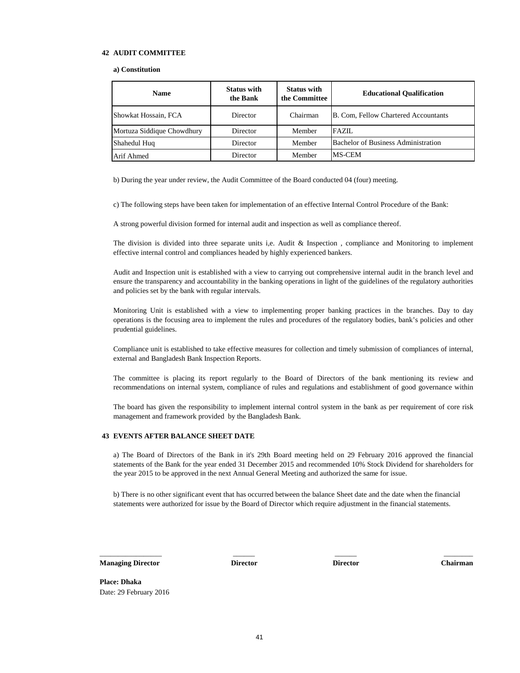#### **42 AUDIT COMMITTEE**

#### **a) Constitution**

| <b>Name</b>                | <b>Status with</b><br>the Bank | <b>Status with</b><br>the Committee | <b>Educational Qualification</b>     |
|----------------------------|--------------------------------|-------------------------------------|--------------------------------------|
| Showkat Hossain, FCA       | Director                       | Chairman                            | B. Com, Fellow Chartered Accountants |
| Mortuza Siddique Chowdhury | Director                       | Member                              | <b>FAZIL</b>                         |
| Shahedul Hug               | Director                       | Member                              | Bachelor of Business Administration  |
| Arif Ahmed                 | <b>Director</b>                | Member                              | MS-CEM                               |

b) During the year under review, the Audit Committee of the Board conducted 04 (four) meeting.

c) The following steps have been taken for implementation of an effective Internal Control Procedure of the Bank:

A strong powerful division formed for internal audit and inspection as well as compliance thereof.

The division is divided into three separate units i,e. Audit & Inspection , compliance and Monitoring to implement effective internal control and compliances headed by highly experienced bankers.

Audit and Inspection unit is established with a view to carrying out comprehensive internal audit in the branch level and ensure the transparency and accountability in the banking operations in light of the guidelines of the regulatory authorities and policies set by the bank with regular intervals.

Monitoring Unit is established with a view to implementing proper banking practices in the branches. Day to day operations is the focusing area to implement the rules and procedures of the regulatory bodies, bank's policies and other prudential guidelines.

Compliance unit is established to take effective measures for collection and timely submission of compliances of internal, external and Bangladesh Bank Inspection Reports.

The committee is placing its report regularly to the Board of Directors of the bank mentioning its review and recommendations on internal system, compliance of rules and regulations and establishment of good governance within

The board has given the responsibility to implement internal control system in the bank as per requirement of core risk management and framework provided by the Bangladesh Bank.

#### **43 EVENTS AFTER BALANCE SHEET DATE**

a) The Board of Directors of the Bank in it's 29th Board meeting held on 29 February 2016 approved the financial statements of the Bank for the year ended 31 December 2015 and recommended 10% Stock Dividend for shareholders for the year 2015 to be approved in the next Annual General Meeting and authorized the same for issue.

b) There is no other significant event that has occurred between the balance Sheet date and the date when the financial statements were authorized for issue by the Board of Director which require adjustment in the financial statements.

\_\_\_\_\_\_\_\_\_\_\_\_\_\_\_\_\_ \_\_\_\_\_\_ \_\_\_\_\_\_ \_\_\_\_\_\_\_\_

**Managing Director Director Director Director Chairman**

**Place: Dhaka** Date: 29 February 2016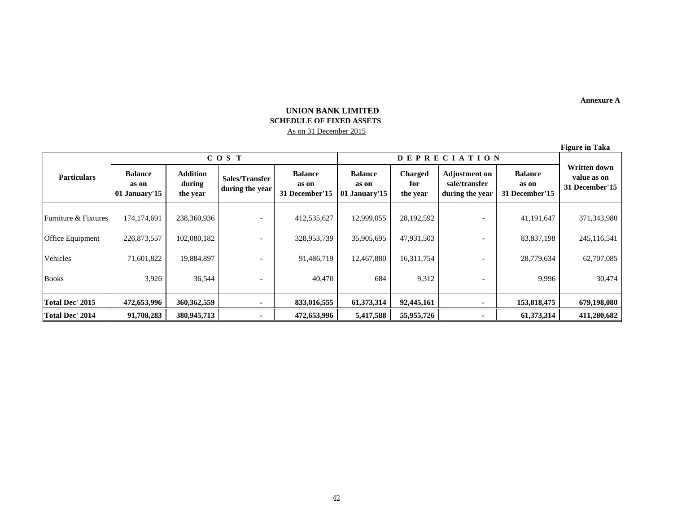**Annexure A**

# **UNION BANK LIMITED SCHEDULE OF FIXED ASSETS**  As on 31 December 2015

**Figure in Taka**

| <b>Particulars</b>   | COS T                                    |                                       |                                   |                                           | <b>DEPRECIATION</b>                      |                                   |                                                          |                                           |                                                      |
|----------------------|------------------------------------------|---------------------------------------|-----------------------------------|-------------------------------------------|------------------------------------------|-----------------------------------|----------------------------------------------------------|-------------------------------------------|------------------------------------------------------|
|                      | <b>Balance</b><br>as on<br>01 January'15 | <b>Addition</b><br>during<br>the year | Sales/Transfer<br>during the year | <b>Balance</b><br>as on<br>31 December'15 | <b>Balance</b><br>as on<br>01 January'15 | <b>Charged</b><br>for<br>the year | <b>Adjustment on</b><br>sale/transfer<br>during the year | <b>Balance</b><br>as on<br>31 December'15 | <b>Written down</b><br>value as on<br>31 December'15 |
| Furniture & Fixtures | 174, 174, 691                            | 238,360,936                           |                                   | 412,535,627                               | 12,999,055                               | 28,192,592                        |                                                          | 41,191,647                                | 371,343,980                                          |
| Office Equipment     | 226,873,557                              | 102,080,182                           |                                   | 328,953,739                               | 35,905,695                               | 47,931,503                        |                                                          | 83,837,198                                | 245,116,541                                          |
| Vehicles             | 71,601,822                               | 19,884,897                            |                                   | 91,486,719                                | 12,467,880                               | 16,311,754                        |                                                          | 28,779,634                                | 62,707,085                                           |
| <b>Books</b>         | 3,926                                    | 36,544                                |                                   | 40,470                                    | 684                                      | 9,312                             |                                                          | 9,996                                     | 30,474                                               |
| Total Dec' 2015      | 472,653,996                              | 360, 362, 559                         |                                   | 833,016,555                               | 61,373,314                               | 92,445,161                        |                                                          | 153,818,475                               | 679,198,080                                          |
| Total Dec' 2014      | 91,708,283                               | 380,945,713                           |                                   | 472,653,996                               | 5,417,588                                | 55,955,726                        |                                                          | 61,373,314                                | 411,280,682                                          |